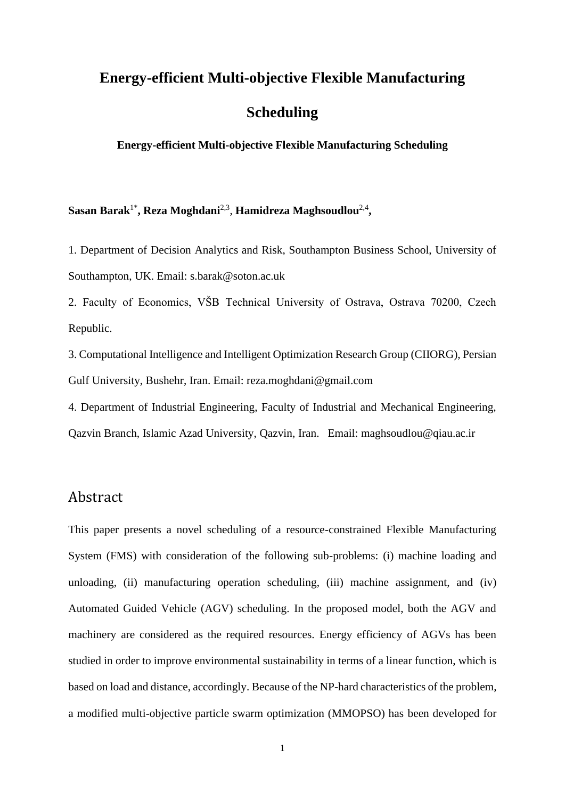# **Energy-efficient Multi-objective Flexible Manufacturing Scheduling**

**Energy-efficient Multi-objective Flexible Manufacturing Scheduling**

 $\mathbf{Sasan~Barak}^{1*}, \mathbf{Reza~Moghdani}^{2,3}, \mathbf{Hamidreza~Maghsoudlou}^{2,4},$ 

1. Department of Decision Analytics and Risk, Southampton Business School, University of Southampton, UK. Email: [s.barak@soton.ac.uk](mailto:s.barak@soton.ac.uk)

2. Faculty of Economics, VŠB Technical University of Ostrava, Ostrava 70200, Czech Republic.

3. Computational Intelligence and Intelligent Optimization Research Group (CIIORG), Persian Gulf University, Bushehr, Iran. Email: [reza.moghdani@gmail.com](mailto:reza.moghdani@gmail.com)

4. Department of Industrial Engineering, Faculty of Industrial and Mechanical Engineering, Qazvin Branch, Islamic Azad University, Qazvin, Iran. Email: maghsoudlou@qiau.ac.ir

# Abstract

This paper presents a novel scheduling of a resource-constrained Flexible Manufacturing System (FMS) with consideration of the following sub-problems: (i) machine loading and unloading, (ii) manufacturing operation scheduling, (iii) machine assignment, and (iv) Automated Guided Vehicle (AGV) scheduling. In the proposed model, both the AGV and machinery are considered as the required resources. Energy efficiency of AGVs has been studied in order to improve environmental sustainability in terms of a linear function, which is based on load and distance, accordingly. Because of the NP-hard characteristics of the problem, a modified multi-objective particle swarm optimization (MMOPSO) has been developed for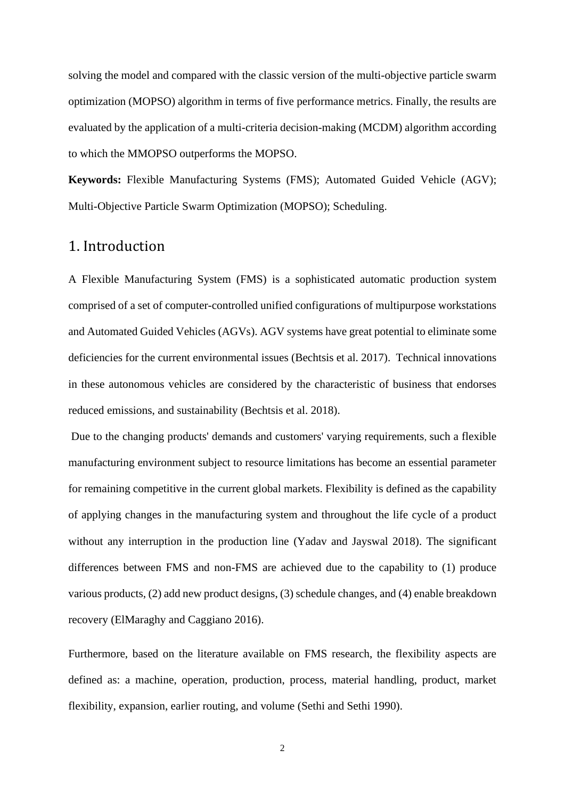solving the model and compared with the classic version of the multi-objective particle swarm optimization (MOPSO) algorithm in terms of five performance metrics. Finally, the results are evaluated by the application of a multi-criteria decision-making (MCDM) algorithm according to which the MMOPSO outperforms the MOPSO.

**Keywords:** Flexible Manufacturing Systems (FMS); Automated Guided Vehicle (AGV); Multi-Objective Particle Swarm Optimization (MOPSO); Scheduling.

### 1. Introduction

A Flexible Manufacturing System (FMS) is a sophisticated automatic production system comprised of a set of computer-controlled unified configurations of multipurpose workstations and Automated Guided Vehicles (AGVs). AGV systems have great potential to eliminate some deficiencies for the current environmental issues (Bechtsis et al. 2017). Technical innovations in these autonomous vehicles are considered by the characteristic of business that endorses reduced emissions, and sustainability (Bechtsis et al. 2018).

Due to the changing products' demands and customers' varying requirements, such a flexible manufacturing environment subject to resource limitations has become an essential parameter for remaining competitive in the current global markets. Flexibility is defined as the capability of applying changes in the manufacturing system and throughout the life cycle of a product without any interruption in the production line (Yadav and Jayswal 2018). The significant differences between FMS and non-FMS are achieved due to the capability to (1) produce various products, (2) add new product designs, (3) schedule changes, and (4) enable breakdown recovery (ElMaraghy and Caggiano 2016).

Furthermore, based on the literature available on FMS research, the flexibility aspects are defined as: a machine, operation, production, process, material handling, product, market flexibility, expansion, earlier routing, and volume (Sethi and Sethi 1990).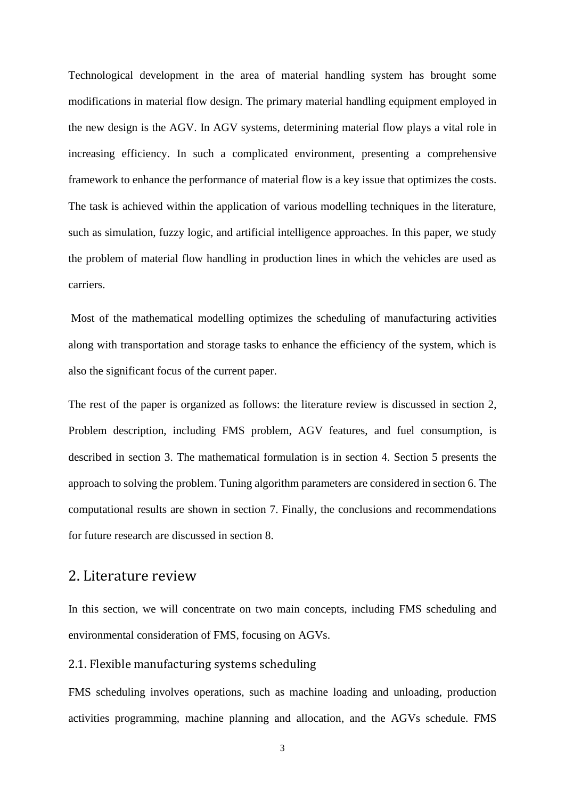Technological development in the area of material handling system has brought some modifications in material flow design. The primary material handling equipment employed in the new design is the AGV. In AGV systems, determining material flow plays a vital role in increasing efficiency. In such a complicated environment, presenting a comprehensive framework to enhance the performance of material flow is a key issue that optimizes the costs. The task is achieved within the application of various modelling techniques in the literature, such as simulation, fuzzy logic, and artificial intelligence approaches. In this paper, we study the problem of material flow handling in production lines in which the vehicles are used as carriers.

Most of the mathematical modelling optimizes the scheduling of manufacturing activities along with transportation and storage tasks to enhance the efficiency of the system, which is also the significant focus of the current paper.

The rest of the paper is organized as follows: the literature review is discussed in section 2, Problem description, including FMS problem, AGV features, and fuel consumption, is described in section 3. The mathematical formulation is in section 4. Section 5 presents the approach to solving the problem. Tuning algorithm parameters are considered in section 6. The computational results are shown in section 7. Finally, the conclusions and recommendations for future research are discussed in section 8.

### 2. Literature review

In this section, we will concentrate on two main concepts, including FMS scheduling and environmental consideration of FMS, focusing on AGVs.

#### 2.1. Flexible manufacturing systems scheduling

FMS scheduling involves operations, such as machine loading and unloading, production activities programming, machine planning and allocation, and the AGVs schedule. FMS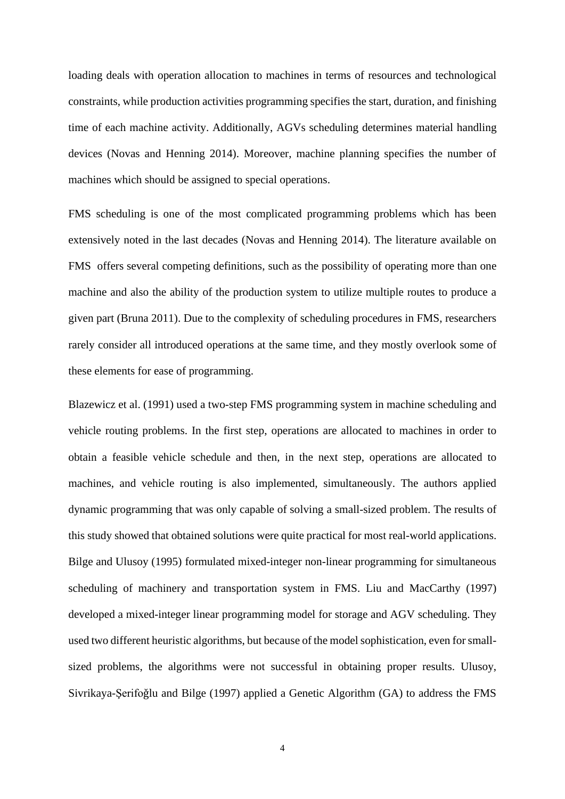loading deals with operation allocation to machines in terms of resources and technological constraints, while production activities programming specifies the start, duration, and finishing time of each machine activity. Additionally, AGVs scheduling determines material handling devices (Novas and Henning 2014). Moreover, machine planning specifies the number of machines which should be assigned to special operations.

FMS scheduling is one of the most complicated programming problems which has been extensively noted in the last decades (Novas and Henning 2014). The literature available on FMS offers several competing definitions, such as the possibility of operating more than one machine and also the ability of the production system to utilize multiple routes to produce a given part (Bruna 2011). Due to the complexity of scheduling procedures in FMS, researchers rarely consider all introduced operations at the same time, and they mostly overlook some of these elements for ease of programming.

Blazewicz et al. (1991) used a two-step FMS programming system in machine scheduling and vehicle routing problems. In the first step, operations are allocated to machines in order to obtain a feasible vehicle schedule and then, in the next step, operations are allocated to machines, and vehicle routing is also implemented, simultaneously. The authors applied dynamic programming that was only capable of solving a small-sized problem. The results of this study showed that obtained solutions were quite practical for most real-world applications. Bilge and Ulusoy (1995) formulated mixed-integer non-linear programming for simultaneous scheduling of machinery and transportation system in FMS. Liu and MacCarthy (1997) developed a mixed-integer linear programming model for storage and AGV scheduling. They used two different heuristic algorithms, but because of the model sophistication, even for smallsized problems, the algorithms were not successful in obtaining proper results. Ulusoy, Sivrikaya-Şerifoǧlu and Bilge (1997) applied a Genetic Algorithm (GA) to address the FMS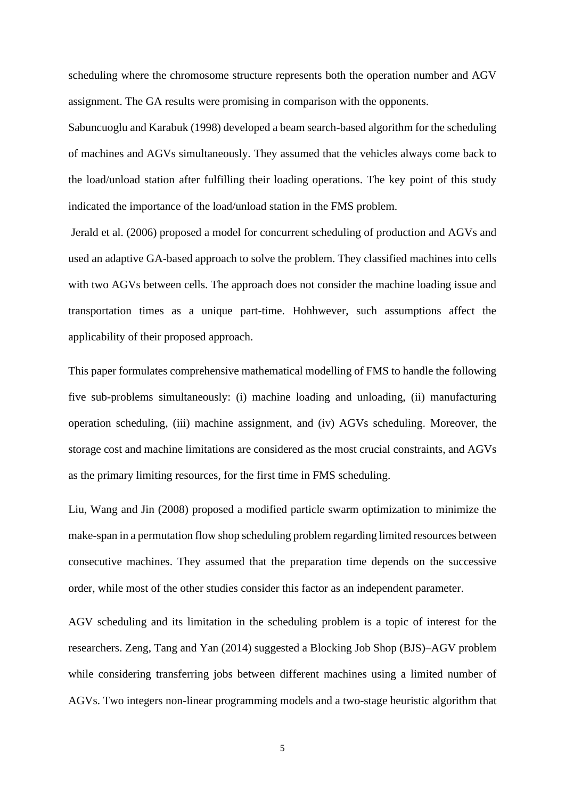scheduling where the chromosome structure represents both the operation number and AGV assignment. The GA results were promising in comparison with the opponents.

Sabuncuoglu and Karabuk (1998) developed a beam search-based algorithm for the scheduling of machines and AGVs simultaneously. They assumed that the vehicles always come back to the load/unload station after fulfilling their loading operations. The key point of this study indicated the importance of the load/unload station in the FMS problem.

Jerald et al. (2006) proposed a model for concurrent scheduling of production and AGVs and used an adaptive GA-based approach to solve the problem. They classified machines into cells with two AGVs between cells. The approach does not consider the machine loading issue and transportation times as a unique part-time. Hohhwever, such assumptions affect the applicability of their proposed approach.

This paper formulates comprehensive mathematical modelling of FMS to handle the following five sub-problems simultaneously: (i) machine loading and unloading, (ii) manufacturing operation scheduling, (iii) machine assignment, and (iv) AGVs scheduling. Moreover, the storage cost and machine limitations are considered as the most crucial constraints, and AGVs as the primary limiting resources, for the first time in FMS scheduling.

Liu, Wang and Jin (2008) proposed a modified particle swarm optimization to minimize the make-span in a permutation flow shop scheduling problem regarding limited resources between consecutive machines. They assumed that the preparation time depends on the successive order, while most of the other studies consider this factor as an independent parameter.

AGV scheduling and its limitation in the scheduling problem is a topic of interest for the researchers. Zeng, Tang and Yan (2014) suggested a Blocking Job Shop (BJS)–AGV problem while considering transferring jobs between different machines using a limited number of AGVs. Two integers non-linear programming models and a two-stage heuristic algorithm that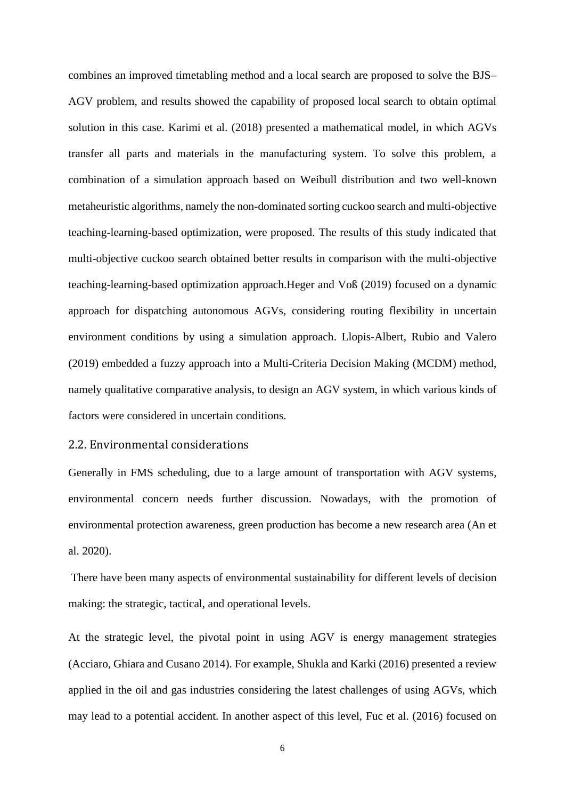combines an improved timetabling method and a local search are proposed to solve the BJS– AGV problem, and results showed the capability of proposed local search to obtain optimal solution in this case. Karimi et al. (2018) presented a mathematical model, in which AGVs transfer all parts and materials in the manufacturing system. To solve this problem, a combination of a simulation approach based on Weibull distribution and two well-known metaheuristic algorithms, namely the non-dominated sorting cuckoo search and multi-objective teaching-learning-based optimization, were proposed. The results of this study indicated that multi-objective cuckoo search obtained better results in comparison with the multi-objective teaching-learning-based optimization approach.Heger and Voß (2019) focused on a dynamic approach for dispatching autonomous AGVs, considering routing flexibility in uncertain environment conditions by using a simulation approach. Llopis-Albert, Rubio and Valero (2019) embedded a fuzzy approach into a Multi-Criteria Decision Making (MCDM) method, namely qualitative comparative analysis, to design an AGV system, in which various kinds of factors were considered in uncertain conditions.

### 2.2. Environmental considerations

Generally in FMS scheduling, due to a large amount of transportation with AGV systems, environmental concern needs further discussion. Nowadays, with the promotion of environmental protection awareness, green production has become a new research area (An et al. 2020).

There have been many aspects of environmental sustainability for different levels of decision making: the strategic, tactical, and operational levels.

At the strategic level, the pivotal point in using AGV is energy management strategies (Acciaro, Ghiara and Cusano 2014). For example, Shukla and Karki (2016) presented a review applied in the oil and gas industries considering the latest challenges of using AGVs, which may lead to a potential accident. In another aspect of this level, Fuc et al. (2016) focused on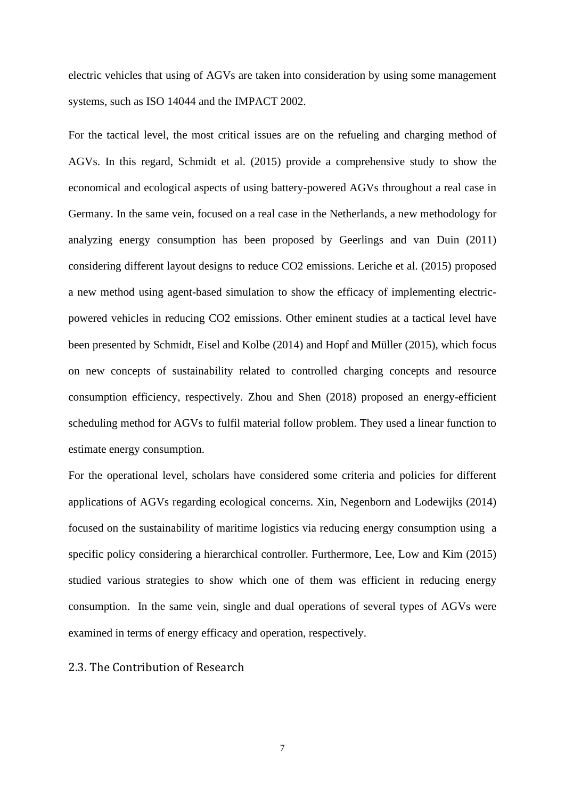electric vehicles that using of AGVs are taken into consideration by using some management systems, such as ISO 14044 and the IMPACT 2002.

For the tactical level, the most critical issues are on the refueling and charging method of AGVs. In this regard, Schmidt et al. (2015) provide a comprehensive study to show the economical and ecological aspects of using battery-powered AGVs throughout a real case in Germany. In the same vein, focused on a real case in the Netherlands, a new methodology for analyzing energy consumption has been proposed by Geerlings and van Duin (2011) considering different layout designs to reduce CO2 emissions. Leriche et al. (2015) proposed a new method using agent-based simulation to show the efficacy of implementing electricpowered vehicles in reducing CO2 emissions. Other eminent studies at a tactical level have been presented by Schmidt, Eisel and Kolbe (2014) and Hopf and Müller (2015), which focus on new concepts of sustainability related to controlled charging concepts and resource consumption efficiency, respectively. Zhou and Shen (2018) proposed an energy-efficient scheduling method for AGVs to fulfil material follow problem. They used a linear function to estimate energy consumption.

For the operational level, scholars have considered some criteria and policies for different applications of AGVs regarding ecological concerns. Xin, Negenborn and Lodewijks (2014) focused on the sustainability of maritime logistics via reducing energy consumption using a specific policy considering a hierarchical controller. Furthermore, Lee, Low and Kim (2015) studied various strategies to show which one of them was efficient in reducing energy consumption. In the same vein, single and dual operations of several types of AGVs were examined in terms of energy efficacy and operation, respectively.

### 2.3. The Contribution of Research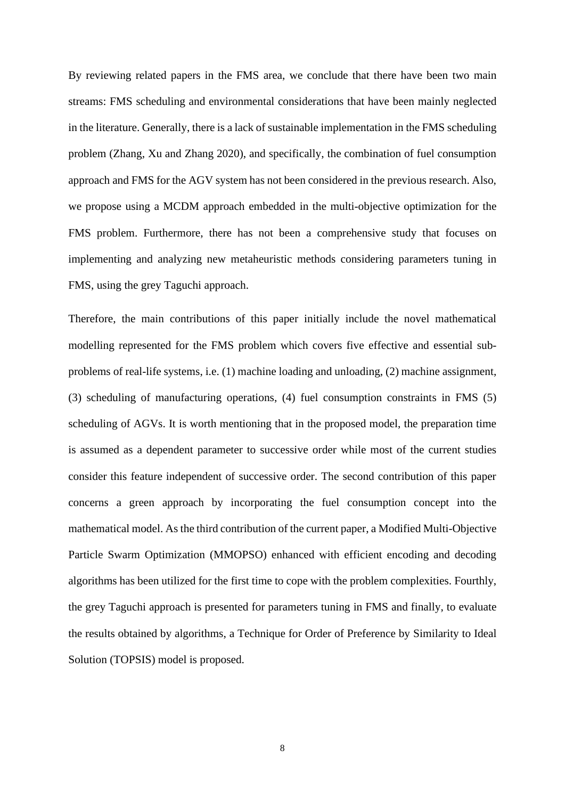By reviewing related papers in the FMS area, we conclude that there have been two main streams: FMS scheduling and environmental considerations that have been mainly neglected in the literature. Generally, there is a lack of sustainable implementation in the FMS scheduling problem (Zhang, Xu and Zhang 2020), and specifically, the combination of fuel consumption approach and FMS for the AGV system has not been considered in the previous research. Also, we propose using a MCDM approach embedded in the multi-objective optimization for the FMS problem. Furthermore, there has not been a comprehensive study that focuses on implementing and analyzing new metaheuristic methods considering parameters tuning in FMS, using the grey Taguchi approach.

Therefore, the main contributions of this paper initially include the novel mathematical modelling represented for the FMS problem which covers five effective and essential subproblems of real-life systems, i.e. (1) machine loading and unloading, (2) machine assignment, (3) scheduling of manufacturing operations, (4) fuel consumption constraints in FMS (5) scheduling of AGVs. It is worth mentioning that in the proposed model, the preparation time is assumed as a dependent parameter to successive order while most of the current studies consider this feature independent of successive order. The second contribution of this paper concerns a green approach by incorporating the fuel consumption concept into the mathematical model. As the third contribution of the current paper, a Modified Multi-Objective Particle Swarm Optimization (MMOPSO) enhanced with efficient encoding and decoding algorithms has been utilized for the first time to cope with the problem complexities. Fourthly, the grey Taguchi approach is presented for parameters tuning in FMS and finally, to evaluate the results obtained by algorithms, a Technique for Order of Preference by Similarity to Ideal Solution (TOPSIS) model is proposed.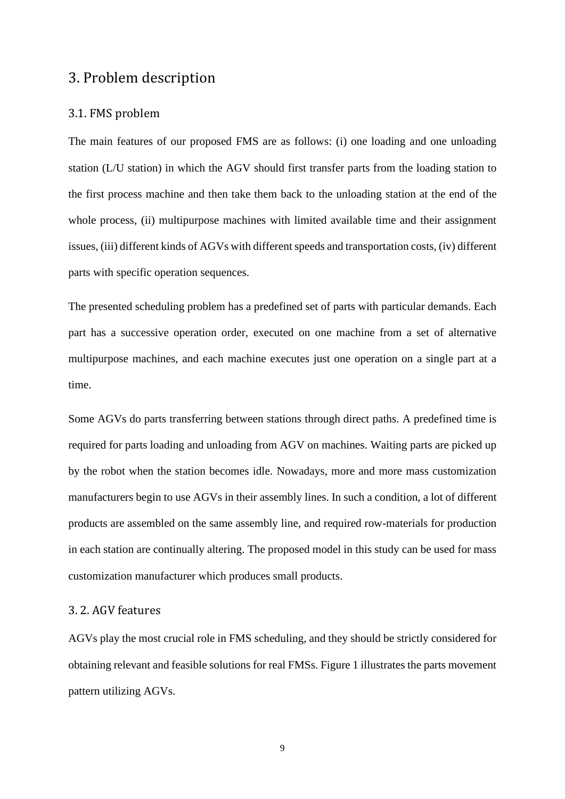### 3. Problem description

### 3.1. FMS problem

The main features of our proposed FMS are as follows: (i) one loading and one unloading station (L/U station) in which the AGV should first transfer parts from the loading station to the first process machine and then take them back to the unloading station at the end of the whole process, (ii) multipurpose machines with limited available time and their assignment issues, (iii) different kinds of AGVs with different speeds and transportation costs, (iv) different parts with specific operation sequences.

The presented scheduling problem has a predefined set of parts with particular demands. Each part has a successive operation order, executed on one machine from a set of alternative multipurpose machines, and each machine executes just one operation on a single part at a time.

Some AGVs do parts transferring between stations through direct paths. A predefined time is required for parts loading and unloading from AGV on machines. Waiting parts are picked up by the robot when the station becomes idle. Nowadays, more and more mass customization manufacturers begin to use AGVs in their assembly lines. In such a condition, a lot of different products are assembled on the same assembly line, and required row-materials for production in each station are continually altering. The proposed model in this study can be used for mass customization manufacturer which produces small products.

### 3. 2. AGV features

AGVs play the most crucial role in FMS scheduling, and they should be strictly considered for obtaining relevant and feasible solutions for real FMSs. [Figure 1](#page-9-0) illustrates the parts movement pattern utilizing AGVs.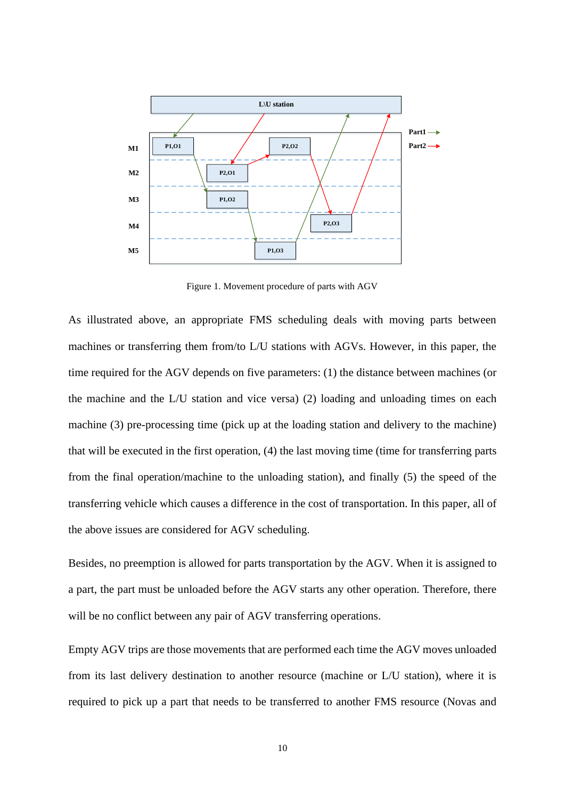

<span id="page-9-0"></span>Figure 1. Movement procedure of parts with AGV

P<sub>1,O1</sub> P<sub>1,O2</sub><br>
P<sub>1,O2</sub><br>
P<sub>1,O2</sub><br>
P<sub>1,O2</sub><br>
P<sub>1,O2</sub><br>
P<sub>1,O2</sub><br>
P<sub>1,O3</sub><br>
P<sub>1,O3</sub><br>
P<sub>1,O3</sub><br>
P<sub>1,O3</sub><br>
P<sub>1,O3</sub><br>
P<sub>1,O3</sub><br>
P<sub>1,O3</sub><br>
P<sub>1,O3</sub><br>
P<sub>1,O3</sub><br>
P<sub>1,O3</sub><br>
P<sub>1,O3</sub><br>
P<sub>1,O3</sub><br>
P<sub>1,O3</sub><br>
P<sub>1,O3</sub><br>
P<sub>1,O3</sub><br>
P<sub>1,O3</sub><br>
P<sub>1,O3</sub><br>
P<sub>1,O3</sub> As illustrated above, an appropriate FMS scheduling deals with moving parts between machines or transferring them from/to L/U stations with AGVs. However, in this paper, the time required for the AGV depends on five parameters: (1) the distance between machines (or the machine and the L/U station and vice versa) (2) loading and unloading times on each machine (3) pre-processing time (pick up at the loading station and delivery to the machine) that will be executed in the first operation, (4) the last moving time (time for transferring parts from the final operation/machine to the unloading station), and finally (5) the speed of the transferring vehicle which causes a difference in the cost of transportation. In this paper, all of the above issues are considered for AGV scheduling.

Besides, no preemption is allowed for parts transportation by the AGV. When it is assigned to a part, the part must be unloaded before the AGV starts any other operation. Therefore, there will be no conflict between any pair of AGV transferring operations.

Empty AGV trips are those movements that are performed each time the AGV moves unloaded from its last delivery destination to another resource (machine or L/U station), where it is required to pick up a part that needs to be transferred to another FMS resource (Novas and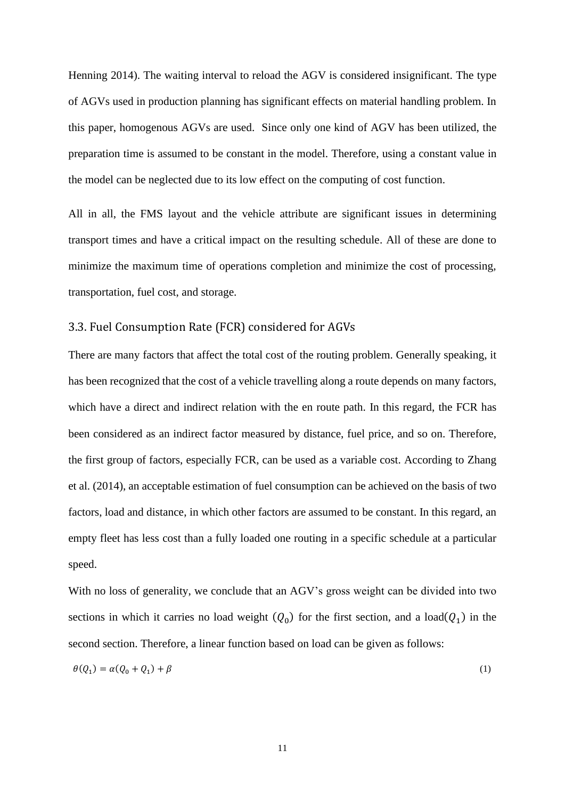Henning 2014). The waiting interval to reload the AGV is considered insignificant. The type of AGVs used in production planning has significant effects on material handling problem. In this paper, homogenous AGVs are used. Since only one kind of AGV has been utilized, the preparation time is assumed to be constant in the model. Therefore, using a constant value in the model can be neglected due to its low effect on the computing of cost function.

All in all, the FMS layout and the vehicle attribute are significant issues in determining transport times and have a critical impact on the resulting schedule. All of these are done to minimize the maximum time of operations completion and minimize the cost of processing, transportation, fuel cost, and storage.

#### 3.3. Fuel Consumption Rate (FCR) considered for AGVs

There are many factors that affect the total cost of the routing problem. Generally speaking, it has been recognized that the cost of a vehicle travelling along a route depends on many factors, which have a direct and indirect relation with the en route path. In this regard, the FCR has been considered as an indirect factor measured by distance, fuel price, and so on. Therefore, the first group of factors, especially FCR, can be used as a variable cost. According to Zhang et al. (2014), an acceptable estimation of fuel consumption can be achieved on the basis of two factors, load and distance, in which other factors are assumed to be constant. In this regard, an empty fleet has less cost than a fully loaded one routing in a specific schedule at a particular speed.

With no loss of generality, we conclude that an AGV's gross weight can be divided into two sections in which it carries no load weight  $(Q_0)$  for the first section, and a load $(Q_1)$  in the second section. Therefore, a linear function based on load can be given as follows:

<span id="page-10-0"></span>
$$
\theta(Q_1) = \alpha(Q_0 + Q_1) + \beta \tag{1}
$$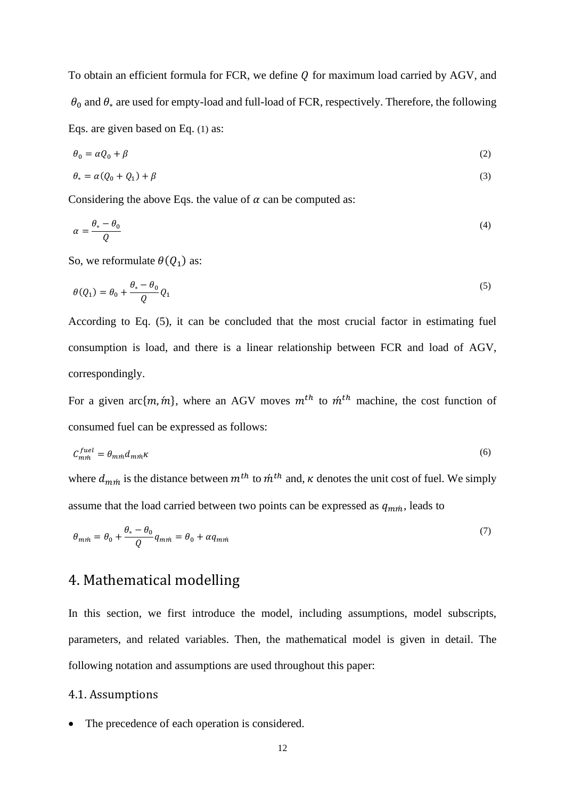To obtain an efficient formula for FCR, we define  $Q$  for maximum load carried by AGV, and  $\theta_0$  and  $\theta_*$  are used for empty-load and full-load of FCR, respectively. Therefore, the following Eqs. are given based on Eq. [\(1\)](#page-10-0) as:

$$
\theta_0 = \alpha Q_0 + \beta \tag{2}
$$

$$
\theta_* = \alpha(Q_0 + Q_1) + \beta \tag{3}
$$

Considering the above Eqs. the value of  $\alpha$  can be computed as:

$$
\alpha = \frac{\theta_* - \theta_0}{Q} \tag{4}
$$

So, we reformulate  $\theta(Q_1)$  as:

<span id="page-11-0"></span>
$$
\theta(Q_1) = \theta_0 + \frac{\theta_* - \theta_0}{Q} Q_1 \tag{5}
$$

According to Eq. [\(5\),](#page-11-0) it can be concluded that the most crucial factor in estimating fuel consumption is load, and there is a linear relationship between FCR and load of AGV, correspondingly.

For a given arc $\{m, m\}$ , where an AGV moves  $m<sup>th</sup>$  to  $m<sup>th</sup>$  machine, the cost function of consumed fuel can be expressed as follows:

$$
C_{m\acute{m}}^{fuel} = \theta_{m\acute{m}}d_{m\acute{m}}\kappa\tag{6}
$$

where  $d_{m\hat{m}}$  is the distance between  $m^{th}$  to  $\hat{m}^{th}$  and,  $\kappa$  denotes the unit cost of fuel. We simply assume that the load carried between two points can be expressed as  $q_{m n}$ , leads to

$$
\theta_{m\acute{m}} = \theta_0 + \frac{\theta_* - \theta_0}{Q} q_{m\acute{m}} = \theta_0 + \alpha q_{m\acute{m}} \tag{7}
$$

# 4. Mathematical modelling

In this section, we first introduce the model, including assumptions, model subscripts, parameters, and related variables. Then, the mathematical model is given in detail. The following notation and assumptions are used throughout this paper:

#### 4.1. Assumptions

The precedence of each operation is considered.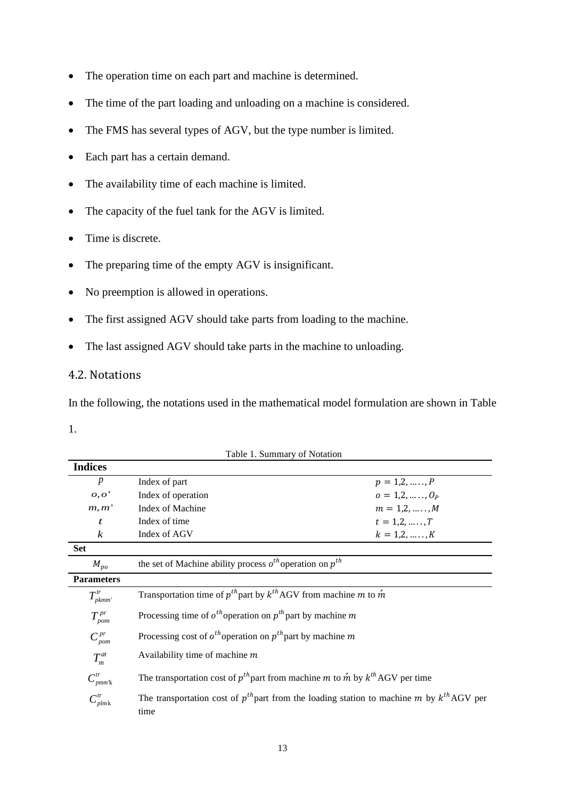- The operation time on each part and machine is determined.
- The time of the part loading and unloading on a machine is considered.
- The FMS has several types of AGV, but the type number is limited.
- Each part has a certain demand.
- The availability time of each machine is limited.
- The capacity of the fuel tank for the AGV is limited.
- Time is discrete.
- The preparing time of the empty AGV is insignificant.
- No preemption is allowed in operations.
- The first assigned AGV should take parts from loading to the machine.
- The last assigned AGV should take parts in the machine to unloading.

### 4.2. Notations

In the following, the notations used in the mathematical model formulation are shown in [Table](#page-12-0) 

[1.](#page-12-0)

| <b>Indices</b>                    |                                                                                                            |                   |
|-----------------------------------|------------------------------------------------------------------------------------------------------------|-------------------|
| p                                 | Index of part                                                                                              | $p = 1, 2, , P$   |
| o,o'                              | Index of operation                                                                                         | $o = 1, 2, , O_p$ |
| m, m'                             | Index of Machine                                                                                           | $m = 1, 2, , M$   |
| t                                 | Index of time                                                                                              | $t = 1, 2, , T$   |
| $\boldsymbol{k}$                  | Index of AGV                                                                                               | $k = 1, 2, , K$   |
| <b>Set</b>                        |                                                                                                            |                   |
| $M_{po}$                          | the set of Machine ability process $o^{th}$ operation on $p^{th}$                                          |                   |
| <b>Parameters</b>                 |                                                                                                            |                   |
| $T^{tr}$<br>pkmm'                 | Transportation time of $p^{th}$ part by $k^{th}$ AGV from machine m to $\hat{m}$                           |                   |
| $T^{pr}$<br>pom                   | Processing time of $o^{th}$ operation on $p^{th}$ part by machine m                                        |                   |
| $C^{pr}_{\textit{pom}}$           | Processing cost of $o^{th}$ operation on $p^{th}$ part by machine m                                        |                   |
| $T_m^{at}$                        | Availability time of machine $m$                                                                           |                   |
| $C^{tr}$<br>$pmm$ <sup>k</sup>    | The transportation cost of $p^{th}$ part from machine m to m by $k^{th}$ AGV per time                      |                   |
| $C_{\textit{plmk}}^{\textit{tr}}$ | The transportation cost of $p^{th}$ part from the loading station to machine m by $k^{th}$ AGV per<br>time |                   |

<span id="page-12-0"></span>Table 1. Summary of Notation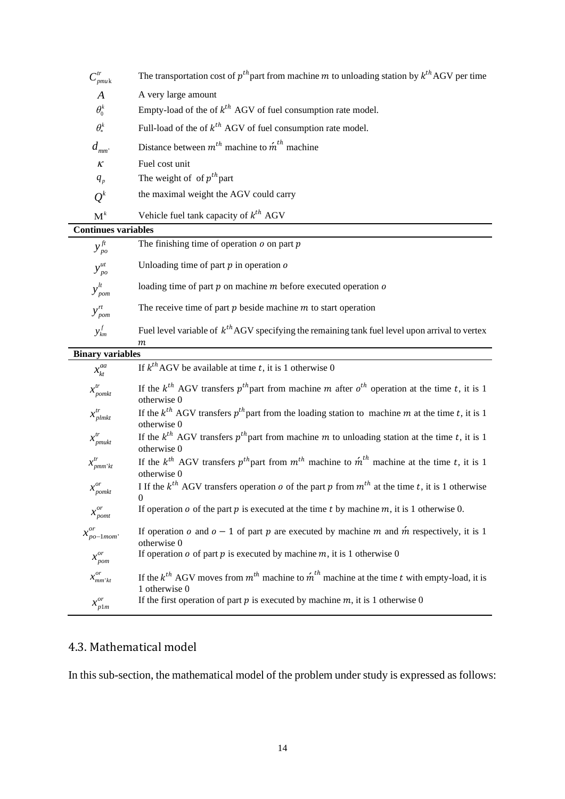| $C^{tr}_{pmuk}$                  | The transportation cost of $p^{th}$ part from machine m to unloading station by $k^{th}$ AGV per time                               |
|----------------------------------|-------------------------------------------------------------------------------------------------------------------------------------|
| $\boldsymbol{A}$                 | A very large amount                                                                                                                 |
| $\theta_0^k$                     | Empty-load of the of $k^{th}$ AGV of fuel consumption rate model.                                                                   |
| $\theta_*^k$                     | Full-load of the of $k^{th}$ AGV of fuel consumption rate model.                                                                    |
| $d_{mm}$                         | Distance between $m^{th}$ machine to $\hat{m}^{th}$ machine                                                                         |
| $\boldsymbol{\mathcal{K}}$       | Fuel cost unit                                                                                                                      |
| $q_p$                            | The weight of of $p^{th}$ part                                                                                                      |
| $Q^k$                            | the maximal weight the AGV could carry                                                                                              |
| $\mathbf{M}^k$                   | Vehicle fuel tank capacity of $k^{th}$ AGV                                                                                          |
| <b>Continues variables</b>       |                                                                                                                                     |
| $y_{po}^{ft}$                    | The finishing time of operation $o$ on part $p$                                                                                     |
| $y_{po}^{ut}$                    | Unloading time of part $p$ in operation $o$                                                                                         |
| $y_{\text{pom}}^{lt}$            | loading time of part $p$ on machine $m$ before executed operation $o$                                                               |
| $y_{\text{pom}}^{rt}$            | The receive time of part $p$ beside machine $m$ to start operation                                                                  |
| $y_{km}^f$                       | Fuel level variable of $k^{th}$ AGV specifying the remaining tank fuel level upon arrival to vertex                                 |
| <b>Binary variables</b>          | т                                                                                                                                   |
| $x_{kt}^{aa}$                    | If $k^{th}$ AGV be available at time t, it is 1 otherwise 0                                                                         |
| $x_{\text{pomkt}}^{\text{tr}}$   | If the $k^{th}$ AGV transfers $p^{th}$ part from machine m after $o^{th}$ operation at the time t, it is 1<br>otherwise 0           |
| $x_{plmkt}^{tr}$                 | If the $k^{th}$ AGV transfers $p^{th}$ part from the loading station to machine m at the time t, it is 1<br>otherwise 0             |
| $x_{pmukt}^{tr}$                 | If the $k^{th}$ AGV transfers $p^{th}$ part from machine m to unloading station at the time t, it is 1<br>otherwise 0               |
| $x_{pmm'kt}^{tr}$                | If the $k^{th}$ AGV transfers $p^{th}$ part from $m^{th}$ machine to $\hat{m}^{th}$ machine at the time t, it is 1<br>otherwise 0   |
| $x_{\textit{pomkt}}^{or}$        | I If the $k^{th}$ AGV transfers operation <i>o</i> of the part <i>p</i> from $m^{th}$ at the time <i>t</i> , it is 1 otherwise<br>0 |
| $x_{\text{p}omt}^{or}$           | If operation $o$ of the part $p$ is executed at the time $t$ by machine $m$ , it is 1 otherwise 0.                                  |
| $x_{po-1mom}^{or}$               | If operation o and $o-1$ of part p are executed by machine m and m respectively, it is 1<br>otherwise 0                             |
| $x_{\text{pom}}^{or}$            | If operation $o$ of part $p$ is executed by machine $m$ , it is 1 otherwise 0                                                       |
| $\boldsymbol{\chi}^{or}_{mm'kt}$ | If the $k^{th}$ AGV moves from $m^{th}$ machine to $\acute{m}^{th}$ machine at the time t with empty-load, it is<br>1 otherwise 0   |
| $x_{p1m}^{or}$                   | If the first operation of part $p$ is executed by machine $m$ , it is 1 otherwise 0                                                 |

### 4.3. Mathematical model

In this sub-section, the mathematical model of the problem under study is expressed as follows: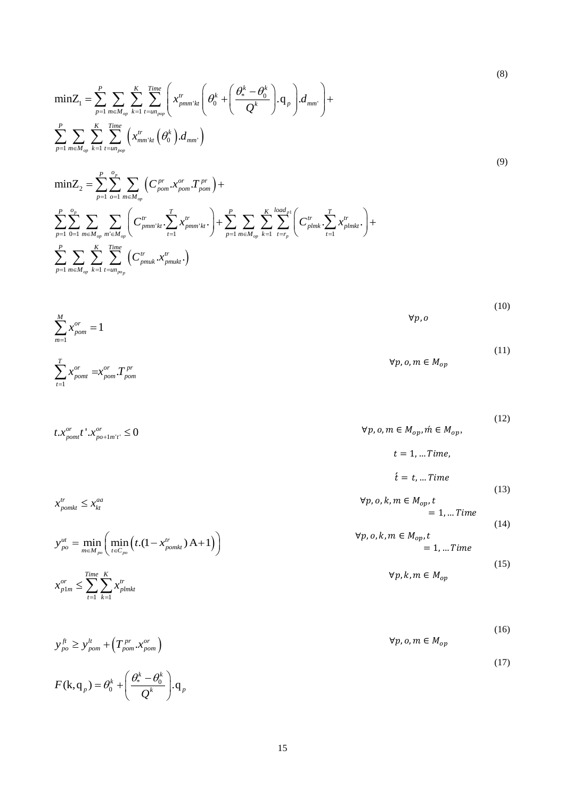<span id="page-14-0"></span>
$$
\min Z_{1} = \sum_{p=1}^{P} \sum_{m \in M_{op}} \sum_{k=1}^{K} \sum_{t=un_{pop}}^{Time} \left( x_{pmm'kt}^{tr} \left( \theta_{0}^{k} + \left( \frac{\theta_{*}^{k} - \theta_{0}^{k}}{Q^{k}} \right), q_{p} \right) d_{mm'} \right) + \sum_{p=1}^{P} \sum_{m \in M_{op}} \sum_{k=1}^{K} \sum_{t=un_{pop}}^{Time} \left( x_{mm'kt}^{tr} \left( \theta_{0}^{k} \right) d_{mm'} \right)
$$
\n(9)

$$
\begin{aligned} &\text{min} Z_2 = \sum_{p=1}^{P} \sum_{o=1}^{o_p} \sum_{m \in M_{op}} \Big( C_{pom}^{pr} . x_{pom}^{or} . T_{pom}^{pr} \Big) + \\ &\sum_{p=1}^{P} \sum_{0=1}^{o_p} \sum_{m \in M_{op}} \sum_{m' \in M_{op}} \Bigg( C_{pmm'kt}^{tr} . \sum_{t=1}^{T} x_{pmm'kt}^{tr} . \Bigg) + \sum_{p=1}^{P} \sum_{m \in M_{op}} \sum_{k=1}^{K} \sum_{t=r_p}^{\text{load}_{p1}} \Bigg( C_{plmk}^{tr} . \sum_{t=1}^{T} x_{plmkt}^{tr} . \Bigg) + \\ &\sum_{p=1}^{P} \sum_{m \in M_{op}} \sum_{k=1}^{K} \sum_{t=um_{pop}}^{Time} \Bigg( C_{pmk}^{tr} . x_{pmukt}^{tr} . \Bigg) \end{aligned}
$$

$$
\sum_{m=1}^{M} x_{pom}^{or} = 1
$$
\n
$$
\sum_{t=1}^{T} x_{pom}^{or} = x_{pom}^{or} \cdot T_{pom}^{pr}
$$
\n
$$
(10)
$$
\n
$$
\forall p, o, m \in M_{op}
$$
\n
$$
(11)
$$

$$
t \cdot x_{\text{pom}}^{\text{or}} t \cdot x_{\text{pof-1m't}}^{\text{or}} \le 0
$$
\n
$$
\forall p, o, m \in M_{\text{op}}, \text{if } t = 1, \dots \text{Time},
$$
\n
$$
t = 1, \dots \text{Time},
$$
\n
$$
\{t = t, \dots \text{Time}\}
$$
\n
$$
(12)
$$

$$
\forall p, o, k, m \in M_{op}, t
$$
  
= 1, ... Time

<span id="page-14-4"></span><span id="page-14-3"></span><span id="page-14-2"></span><span id="page-14-1"></span>
$$
\forall p, o, k, m \in M_{op}, t
$$
  
= 1, ... *Time* (14)

<span id="page-14-6"></span><span id="page-14-5"></span>
$$
\forall p, k, m \in M_{op} \tag{15}
$$

$$
\frac{1}{2} \tag{16}
$$

$$
\forall p, o, m \in M_{op}
$$

<span id="page-14-9"></span><span id="page-14-8"></span><span id="page-14-7"></span>
$$
(17)
$$

$$
y_{po}^f \ge y_{pom}^l + \left(T_{pom}^{pr} \cdot x_{pom}^{or}\right)
$$
  

$$
F(\mathbf{k}, \mathbf{q}_p) = \theta_0^k + \left(\frac{\theta_*^k - \theta_0^k}{Q^k}\right). \mathbf{q}_p
$$

 $1 \; k=1$  $\sum_{p1m}^{or} \leq \sum_{t=1}^{Time} \sum_{k=1}^{K} x_{plmkt}^{tr}$ *x x* **≤** *> x*  $\leq \sum_{t=1} \sum_{k=1}$ 

 $\min_{n \in M_{po}} \left( \min_{t \in C_{po}} \left( t.(1 - x_{pomkt}^{tr}) \right) A + 1 \right)$  $y_{po}^{ut} = \min_{m \in M_{po}} \left( \min_{t \in C_{po}} \left( t.(1 - x_{pomkt}^{tr}) \right. \text{A} + 1) \right)$ 

 $x_{\text{pomkt}}^{tr} \leq x_{\text{kt}}^{aa}$ 

1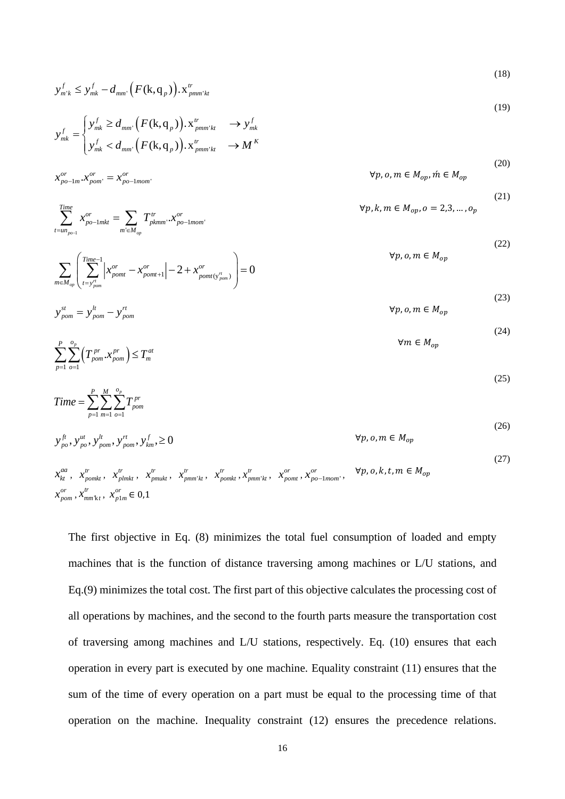$$
y_{m'k}^f \le y_{mk}^f - d_{mm'}\Big(F(\mathbf{k}, \mathbf{q}_p)\Big). \mathbf{x}_{pmm'kt}^{tr} \tag{16}
$$

<span id="page-15-0"></span> $(18)$ 

(19)

<span id="page-15-1"></span>(20)

<span id="page-15-3"></span><span id="page-15-2"></span>(21)

<span id="page-15-8"></span><span id="page-15-7"></span><span id="page-15-6"></span><span id="page-15-5"></span><span id="page-15-4"></span>(24)

$$
y_{mk}^f = \begin{cases} y_{mk}^f \ge d_{mm'}(F(\mathbf{k}, \mathbf{q}_p)). \mathbf{x}_{pmm'kt}^r & \rightarrow y_{mk}^f \\ y_{mk}^f < d_{mm'}(F(\mathbf{k}, \mathbf{q}_p)). \mathbf{x}_{pmm'kt}^r & \rightarrow M^K \end{cases}
$$

$$
x_{po-1m}^{or} \cdot x_{pom}^{or} = x_{po-1mom}^{or}
$$
\n
$$
\forall p, o, m \in M_{op}, \forall n \in M_{op}
$$

*Time*

$$
\sum_{t=un_{po-1}}^{Time} x_{po-1mkt}^{or} = \sum_{m' \in M_{op}} T_{pkmm}^{tr} \cdot x_{po-1mom}^{or}
$$
\n
$$
\forall p, k, m \in M_{op}, o = 2, 3, ..., o_p
$$

$$
\sum_{m \in M_{op}} \left( \sum_{t = y_{pom}^{r}}^{Time-1} \left| x_{pom}^{or} - x_{pom}^{or} \right| - 2 + x_{pomt(y_{pom}^{r})}^{or} \right) = 0
$$
\n(22)

$$
y_{pom}^{st} = y_{pom}^{lt} - y_{pom}^{rt}
$$
  $\forall p, o, m \in M_{op}$ 

$$
\sum_{p=1}^{P} \sum_{o=1}^{o_p} \left( T_{pom}^{pr} \cdot x_{pom}^{pr} \right) \le T_m^{at} \tag{25}
$$

$$
Time = \sum_{p=1}^{P} \sum_{m=1}^{M} \sum_{o=1}^{o_p} T_{pom}^{pr}
$$
\n(26)

$$
y_{po}^f, y_{po}^u, y_{pom}^l, y_{pom}^f, y_{km}^f, \ge 0
$$
  $\forall p, o, m \in M_{op}$ 

$$
x_{kt}^{aa}, x_{pomkt}^{tr}, x_{pimkt}^{tr}, x_{pimkt}^{tr}, x_{pmm'kt}^{tr}, x_{pomkt}^{tr}, x_{pomkt}^{tr}, x_{pomnt}^{cr}, x_{pomt}^{or}, x_{po-1mom}^{or}, \forall p, o, k, t, m \in M_{op}
$$
  
\n
$$
x_{pom}^{or}, x_{mm'kt}^{tr}, x_{plm}^{or} \in 0,1
$$
\n
$$
(27)
$$

The first objective in Eq. [\(8\)](#page-14-0) minimizes the total fuel consumption of loaded and empty machines that is the function of distance traversing among machines or L/U stations, and Eq[.\(9\)](#page-14-1) minimizes the total cost. The first part of this objective calculates the processing cost of all operations by machines, and the second to the fourth parts measure the transportation cost of traversing among machines and L/U stations, respectively. Eq. [\(10\)](#page-14-2) ensures that each operation in every part is executed by one machine. Equality constraint [\(11\)](#page-14-3) ensures that the sum of the time of every operation on a part must be equal to the processing time of that operation on the machine. Inequality constraint [\(12\)](#page-14-4) ensures the precedence relations.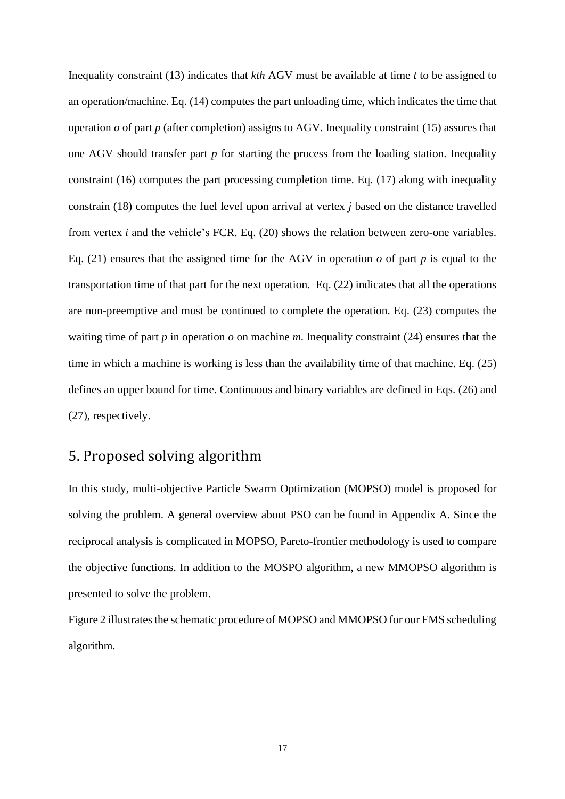Inequality constraint [\(13\)](#page-14-5) indicates that *kth* AGV must be available at time *t* to be assigned to an operation/machine. Eq. [\(14\)](#page-14-6) computes the part unloading time, which indicates the time that operation  $\varrho$  of part  $p$  (after completion) assigns to AGV. Inequality constraint [\(15\)](#page-14-7) assures that one AGV should transfer part *p* for starting the process from the loading station. Inequality constraint [\(16\)](#page-14-8) computes the part processing completion time. Eq. [\(17\)](#page-14-9) along with inequality constrain [\(18\)](#page-15-0) computes the fuel level upon arrival at vertex *j* based on the distance travelled from vertex *i* and the vehicle's FCR. Eq. [\(20\)](#page-15-1) shows the relation between zero-one variables. Eq. [\(21\)](#page-15-2) ensures that the assigned time for the AGV in operation  $\sigma$  of part  $p$  is equal to the transportation time of that part for the next operation. Eq. [\(22\)](#page-15-3) indicates that all the operations are non-preemptive and must be continued to complete the operation. Eq. [\(23\)](#page-15-4) computes the waiting time of part *p* in operation *o* on machine *m*. Inequality constraint [\(24\)](#page-15-5) ensures that the time in which a machine is working is less than the availability time of that machine. Eq. [\(25\)](#page-15-6) defines an upper bound for time. Continuous and binary variables are defined in Eqs. [\(26\)](#page-15-7) and [\(27\),](#page-15-8) respectively.

### 5. Proposed solving algorithm

In this study, multi-objective Particle Swarm Optimization (MOPSO) model is proposed for solving the problem. A general overview about PSO can be found in Appendix A. Since the reciprocal analysis is complicated in MOPSO, Pareto-frontier methodology is used to compare the objective functions. In addition to the MOSPO algorithm, a new MMOPSO algorithm is presented to solve the problem.

[Figure 2](#page-17-0) illustrates the schematic procedure of MOPSO and MMOPSO for our FMS scheduling algorithm.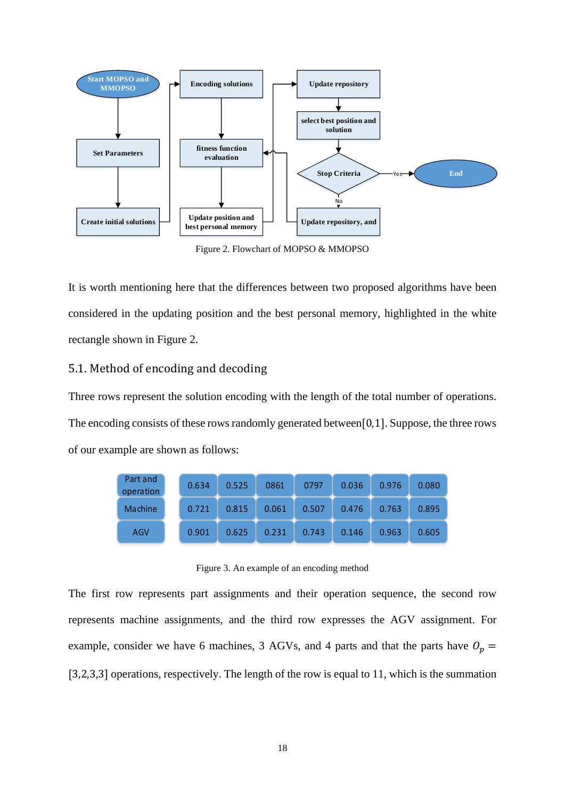

Figure 2. Flowchart of MOPSO & MMOPSO

<span id="page-17-0"></span>It is worth mentioning here that the differences between two proposed algorithms have been considered in the updating position and the best personal memory, highlighted in the white rectangle shown in [Figure 2.](#page-17-0)

### 5.1. Method of encoding and decoding

Three rows represent the solution encoding with the length of the total number of operations. The encoding consists of these rows randomly generated between[0,1]. Suppose, the three rows of our example are shown as follows:

| Part and<br>operation | 0.634 | 0.525 | 0861  | 0797  | 0.036 | 0.976 | 0.080 |
|-----------------------|-------|-------|-------|-------|-------|-------|-------|
| <b>Machine</b>        | 0.721 | 0.815 | 0.061 | 0.507 | 0.476 | 0.763 | 0.895 |
| AGV                   | 0.901 | 0.625 | 0.231 | 0.743 | 0.146 | 0.963 | 0.605 |

Figure 3. An example of an encoding method

<span id="page-17-1"></span>The first row represents part assignments and their operation sequence, the second row represents machine assignments, and the third row expresses the AGV assignment. For example, consider we have 6 machines, 3 AGVs, and 4 parts and that the parts have  $O_p =$ [3,2,3,3] operations, respectively. The length of the row is equal to 11, which is the summation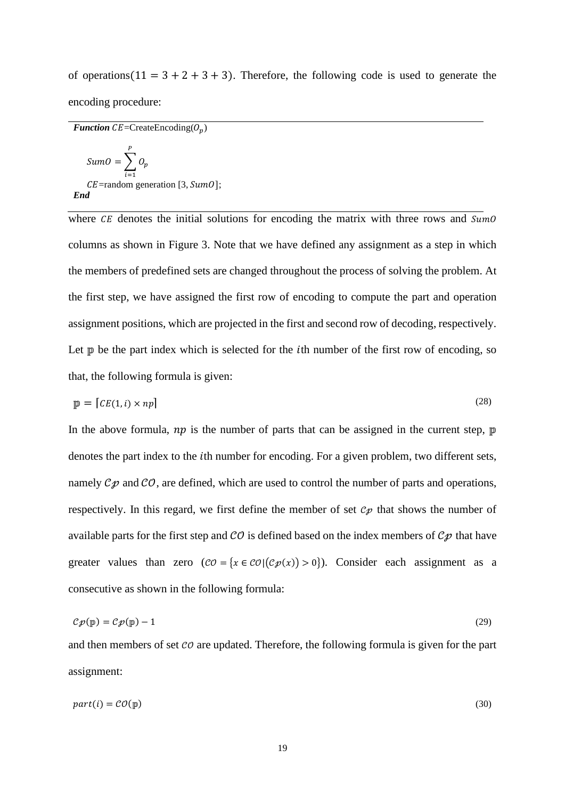of operations( $11 = 3 + 2 + 3 + 3$ ). Therefore, the following code is used to generate the encoding procedure:

*Function*  $CE = CreateEncoding(O_n)$ 

Sum $0 = \sum Q_p$ P  $i=1$  $CE =$ random generation [3,  $SumO$ ]; *End*

where  $CE$  denotes the initial solutions for encoding the matrix with three rows and  $SumO$ columns as shown in [Figure 3.](#page-17-1) Note that we have defined any assignment as a step in which the members of predefined sets are changed throughout the process of solving the problem. At the first step, we have assigned the first row of encoding to compute the part and operation assignment positions, which are projected in the first and second row of decoding, respectively. Let  $\mathbb{p}$  be the part index which is selected for the *i*th number of the first row of encoding, so that, the following formula is given:

$$
\mathbf{p} = [CE(1, i) \times np] \tag{28}
$$

In the above formula,  $np$  is the number of parts that can be assigned in the current step,  $\mathbb{p}$ denotes the part index to the *i*th number for encoding. For a given problem, two different sets, namely  $C\mathcal{D}$  and  $C\mathcal{O}$ , are defined, which are used to control the number of parts and operations, respectively. In this regard, we first define the member of set  $c_p$  that shows the number of available parts for the first step and  $\mathcal{CO}$  is defined based on the index members of  $\mathcal{CP}$  that have greater values than zero  $(CO = \{x \in CO | (Cp(x)) > 0\})$ . Consider each assignment as a consecutive as shown in the following formula:

$$
Cp(\mathbf{p}) = Cp(\mathbf{p}) - 1 \tag{29}
$$

and then members of set  $\mathcal{CO}$  are updated. Therefore, the following formula is given for the part assignment:

$$
part(i) = \mathcal{CO}(\mathbb{p})
$$
\n<sup>(30)</sup>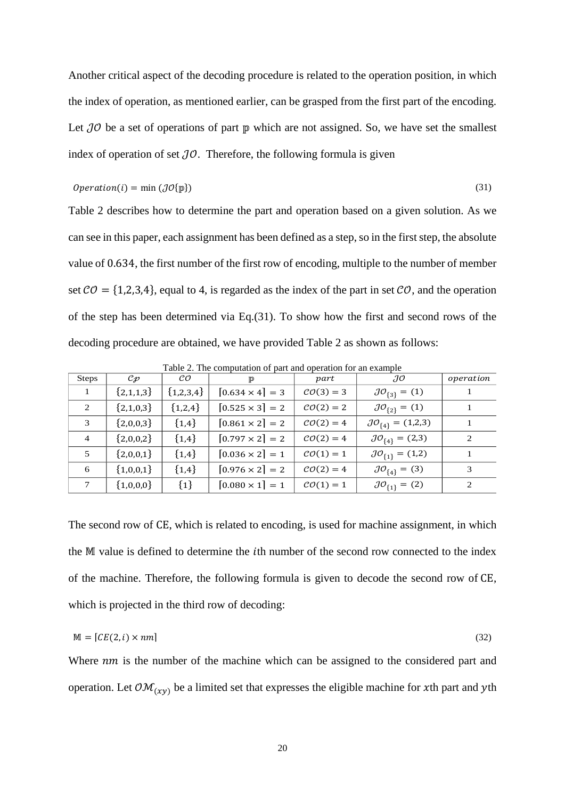Another critical aspect of the decoding procedure is related to the operation position, in which the index of operation, as mentioned earlier, can be grasped from the first part of the encoding. Let  $\mathcal{J}\mathcal{O}$  be a set of operations of part  $\mathbb{P}$  which are not assigned. So, we have set the smallest index of operation of set  $\partial O$ . Therefore, the following formula is given

<span id="page-19-0"></span>
$$
Operation(i) = \min (J \mathcal{O}\{\mathbb{p}\})
$$
\n(31)

Table 2 describes how to determine the part and operation based on a given solution. As we can see in this paper, each assignment has been defined as a step, so in the first step, the absolute value of 0.634, the first number of the first row of encoding, multiple to the number of member set  $CO = \{1,2,3,4\}$ , equal to 4, is regarded as the index of the part in set  $CO$ , and the operation of the step has been determined via Eq[.\(31\).](#page-19-0) To show how the first and second rows of the decoding procedure are obtained, we have provided [Table 2](#page-19-1) as shown as follows:

<span id="page-19-1"></span>

| <b>Steps</b>   | $c_{\mathcal{P}}$ | $\mathcal{C} \mathcal{O}$ | TD.                    | part                  | $\partial^{\prime}$            | operation |
|----------------|-------------------|---------------------------|------------------------|-----------------------|--------------------------------|-----------|
|                | ${2,1,1,3}$       | ${1,2,3,4}$               | $[0.634 \times 4] = 3$ | $CO(3) = 3$           | $J\mathcal{O}_{\{3\}} = (1)$   |           |
| 2              | ${2,1,0,3}$       | ${1,2,4}$                 | $[0.525 \times 3] = 2$ | $CO(2) = 2$           | $J\mathcal{O}_{\{2\}} = (1)$   |           |
| 3              | ${2,0,0,3}$       | ${1,4}$                   | $[0.861 \times 2] = 2$ | $CO(2) = 4$           | $JO_{\{4\}} = (1,2,3)$         |           |
| $\overline{4}$ | ${2,0,0,2}$       | ${1,4}$                   | $[0.797 \times 2] = 2$ | $CO(2) = 4$           | $JO_{\{4\}} = (2,3)$           | 2         |
| 5              | ${2,0,0,1}$       | ${1,4}$                   | $[0.036 \times 2] = 1$ | $\mathcal{CO}(1)=1$   | $J\mathcal{O}_{\{1\}} = (1,2)$ |           |
| 6              | ${1,0,0,1}$       | ${1,4}$                   | $[0.976 \times 2] = 2$ | $CO(2) = 4$           | $J O_{\{4\}} = (3)$            | 3         |
| $\tau$         | ${1,0,0,0}$       | ${1}$                     | $[0.080 \times 1] = 1$ | $\mathcal{CO}(1) = 1$ | $J\mathcal{O}_{\{1\}} = (2)$   | 2         |

Table 2. The computation of part and operation for an example

The second row of CE, which is related to encoding, is used for machine assignment, in which the M value is defined to determine the *i*th number of the second row connected to the index of the machine. Therefore, the following formula is given to decode the second row of CE, which is projected in the third row of decoding:

$$
\mathbb{M} = [CE(2, i) \times nm] \tag{32}
$$

Where  $nm$  is the number of the machine which can be assigned to the considered part and operation. Let  $\mathcal{OM}_{(xy)}$  be a limited set that expresses the eligible machine for xth part and yth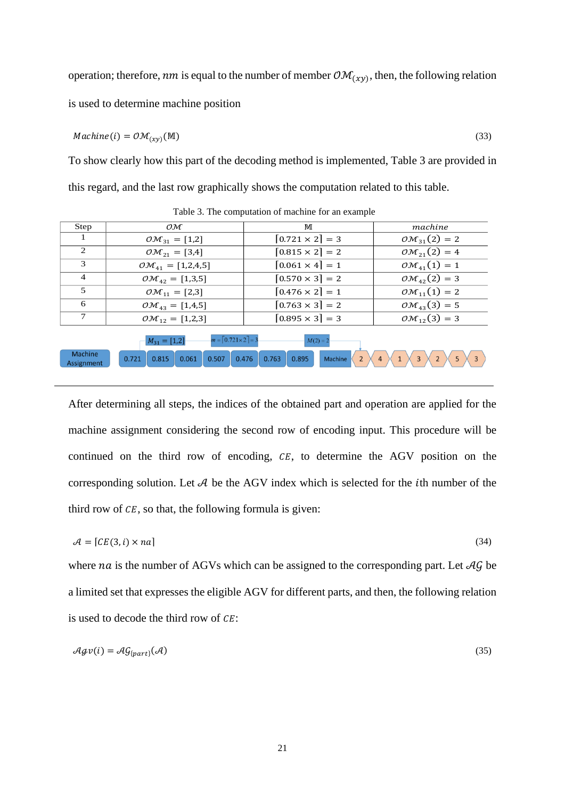operation; therefore, nm is equal to the number of member  $\mathcal{OM}_{(xy)}$ , then, the following relation is used to determine machine position

$$
Machine(i) = \mathcal{OM}_{(xy)}(\mathbb{M})
$$
\n(33)

To show clearly how this part of the decoding method is implemented, [Table 3](#page-20-0) are provided in this regard, and the last row graphically shows the computation related to this table.

<span id="page-20-0"></span>

| Step                        | OM                                                           | M                      | machine                    |
|-----------------------------|--------------------------------------------------------------|------------------------|----------------------------|
|                             | $\mathcal{OM}_{31} = [1,2]$                                  | $[0.721 \times 2] = 3$ | $\mathcal{OM}_{31}(2) = 2$ |
| $\mathcal{D}_{\mathcal{L}}$ | $\mathcal{OM}_{21} = [3, 4]$                                 | $[0.815 \times 2] = 2$ | $\mathcal{OM}_{21}(2) = 4$ |
| 3                           | $\mathcal{OM}_{41} = [1,2,4,5]$                              | $[0.061 \times 4] = 1$ | $\mathcal{OM}_{41}(1) = 1$ |
| $\overline{4}$              | $\mathcal{OM}_{42} = [1,3,5]$                                | $[0.570 \times 3] = 2$ | $\mathcal{OM}_{42}(2) = 3$ |
| 5                           | $OM_{11} = [2,3]$                                            | $[0.476 \times 2] = 1$ | $\mathcal{OM}_{11}(1) = 2$ |
| 6                           | $\mathcal{OM}_{43} = [1, 4, 5]$                              | $[0.763 \times 3] = 2$ | $\mathcal{OM}_{43}(3) = 5$ |
|                             | $\mathcal{OM}_{12} = [1,2,3]$                                | $[0.895 \times 3] = 3$ | $\mathcal{OM}_{12}(3) = 3$ |
|                             | $m = \lfloor 0.721 \times 2 \rfloor = 3$<br>$M_{31} = [1,2]$ | $M(2) = 2$             |                            |

Table 3. The computation of machine for an example



After determining all steps, the indices of the obtained part and operation are applied for the machine assignment considering the second row of encoding input. This procedure will be continued on the third row of encoding,  $CE$ , to determine the AGV position on the corresponding solution. Let  $A$  be the AGV index which is selected for the *i*th number of the third row of  $CE$ , so that, the following formula is given:

$$
\mathcal{A} = [CE(3, i) \times na] \tag{34}
$$

where *na* is the number of AGVs which can be assigned to the corresponding part. Let  $\mathcal{AG}$  be a limited set that expresses the eligible AGV for different parts, and then, the following relation is used to decode the third row of  $CE$ :

$$
\mathcal{A}\mathcal{G}\mathcal{V}(i) = \mathcal{A}\mathcal{G}_{\{part\}}(\mathcal{A})\tag{35}
$$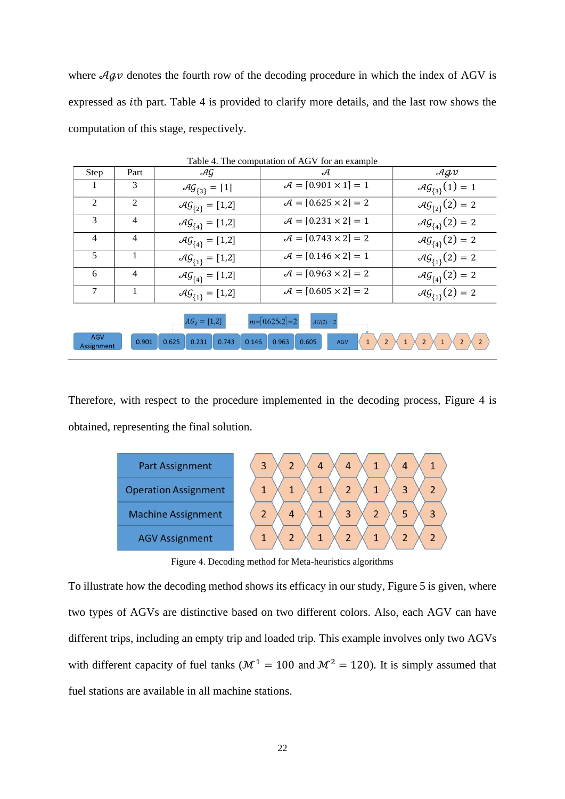where  $\mathcal{A}$ gv denotes the fourth row of the decoding procedure in which the index of AGV is expressed as th part. [Table 4](#page-21-0) is provided to clarify more details, and the last row shows the computation of this stage, respectively.

<span id="page-21-0"></span>

|                                                                                                                                                                                           |                |                      | Lavie 4. The computation of AOV for all example |                                     |  |  |  |  |  |
|-------------------------------------------------------------------------------------------------------------------------------------------------------------------------------------------|----------------|----------------------|-------------------------------------------------|-------------------------------------|--|--|--|--|--|
| Step                                                                                                                                                                                      | Part           | AG                   | A                                               | $\mathcal{A}\mathcal{G}\mathcal{V}$ |  |  |  |  |  |
|                                                                                                                                                                                           | 3              | $AG_{\{3\}} = [1]$   | $A = [0.901 \times 1] = 1$                      | $AG_{\{3\}}(1) = 1$                 |  |  |  |  |  |
| 2                                                                                                                                                                                         | $\overline{c}$ | $AG_{\{2\}} = [1,2]$ | $A = [0.625 \times 2] = 2$                      | $AG_{\{2\}}(2) = 2$                 |  |  |  |  |  |
| 3                                                                                                                                                                                         | $\overline{4}$ | $AG_{\{4\}} = [1,2]$ | $A = [0.231 \times 2] = 1$                      | $AG_{\{4\}}(2) = 2$                 |  |  |  |  |  |
| $\overline{4}$                                                                                                                                                                            | $\overline{4}$ | $AG_{\{4\}} = [1,2]$ | $A = [0.743 \times 2] = 2$                      | $AG_{\{4\}}(2) = 2$                 |  |  |  |  |  |
| 5                                                                                                                                                                                         |                | $AG_{\{1\}} = [1,2]$ | $A = [0.146 \times 2] = 1$                      | $AG_{\{1\}}(2) = 2$                 |  |  |  |  |  |
| 6                                                                                                                                                                                         | $\overline{4}$ | $AG_{\{4\}} = [1,2]$ | $A = [0.963 \times 2] = 2$                      | $AG_{\{4\}}(2) = 2$                 |  |  |  |  |  |
| 7                                                                                                                                                                                         |                | $AG_{\{1\}} = [1,2]$ | $A = [0.605 \times 2] = 2$                      | $AG_{\{1\}}(2) = 2$                 |  |  |  |  |  |
| $m = \lfloor 0.625 \times 2 \rfloor = 2$<br>$AG_2 = [1,2]$<br>$AG(2) = 2$<br><b>AGV</b><br>0.605<br>0.625<br>0.743<br>0.231<br>0.146<br>0.963<br>0.901<br><b>AGV</b><br><b>Assignment</b> |                |                      |                                                 |                                     |  |  |  |  |  |

Table 4. The computation of AGV for an example

Therefore, with respect to the procedure implemented in the decoding process, [Figure 4](#page-21-1) is obtained, representing the final solution.



Figure 4. Decoding method for Meta-heuristics algorithms

<span id="page-21-1"></span>To illustrate how the decoding method shows its efficacy in our study, [Figure 5](#page-22-0) is given, where two types of AGVs are distinctive based on two different colors. Also, each AGV can have different trips, including an empty trip and loaded trip. This example involves only two AGVs with different capacity of fuel tanks ( $\mathcal{M}^1 = 100$  and  $\mathcal{M}^2 = 120$ ). It is simply assumed that fuel stations are available in all machine stations.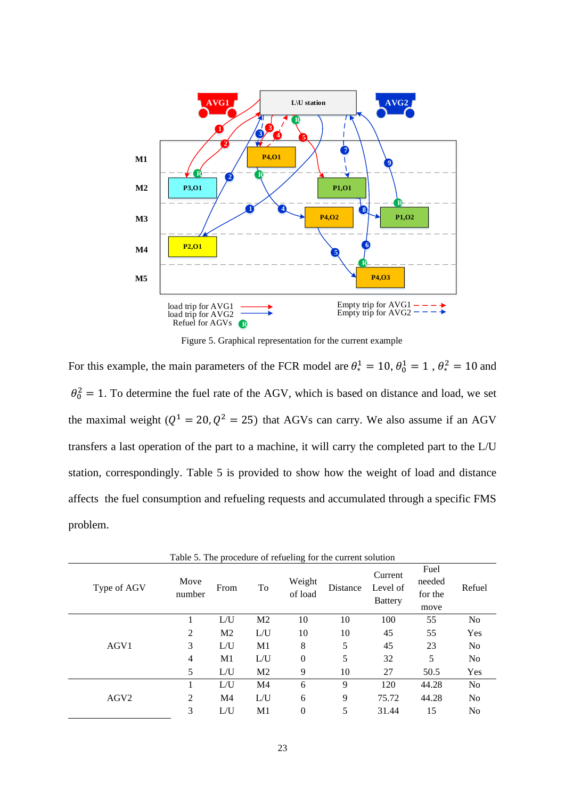

Figure 5. Graphical representation for the current example

<span id="page-22-0"></span>For this example, the main parameters of the FCR model are  $\theta_*^1 = 10$ ,  $\theta_0^1 = 1$ ,  $\theta_*^2 = 10$  and  $\theta_0^2 = 1$ . To determine the fuel rate of the AGV, which is based on distance and load, we set the maximal weight ( $Q^1 = 20$ ,  $Q^2 = 25$ ) that AGVs can carry. We also assume if an AGV transfers a last operation of the part to a machine, it will carry the completed part to the L/U station, correspondingly. [Table 5](#page-22-1) is provided to show how the weight of load and distance affects the fuel consumption and refueling requests and accumulated through a specific FMS problem.

<span id="page-22-1"></span>

|                  | Table 5. The procedure of refueling for the current solution |                |                |                   |          |                                       |                                   |                |  |  |  |
|------------------|--------------------------------------------------------------|----------------|----------------|-------------------|----------|---------------------------------------|-----------------------------------|----------------|--|--|--|
| Type of AGV      | Move<br>number                                               | From           | To             | Weight<br>of load | Distance | Current<br>Level of<br><b>Battery</b> | Fuel<br>needed<br>for the<br>move | Refuel         |  |  |  |
|                  |                                                              | L/U            | M <sub>2</sub> | 10                | 10       | 100                                   | 55                                | No             |  |  |  |
|                  | 2                                                            | M <sub>2</sub> | L/U            | 10                | 10       | 45                                    | 55                                | Yes            |  |  |  |
| AGV1             | 3                                                            | L/U            | M1             | 8                 | 5        | 45                                    | 23                                | No             |  |  |  |
|                  | $\overline{4}$                                               | M <sub>1</sub> | L/U            | $\Omega$          | 5        | 32                                    | 5                                 | No             |  |  |  |
|                  | 5                                                            | L/U            | M <sub>2</sub> | 9                 | 10       | 27                                    | 50.5                              | Yes            |  |  |  |
|                  |                                                              | L/U            | M4             | 6                 | 9        | 120                                   | 44.28                             | No             |  |  |  |
| AGV <sub>2</sub> | 2                                                            | M <sub>4</sub> | L/U            | 6                 | 9        | 75.72                                 | 44.28                             | No             |  |  |  |
|                  | 3                                                            | L/U            | M1             | $\theta$          | 5        | 31.44                                 | 15                                | N <sub>0</sub> |  |  |  |

Table 5. The procedure of refueling for the current solution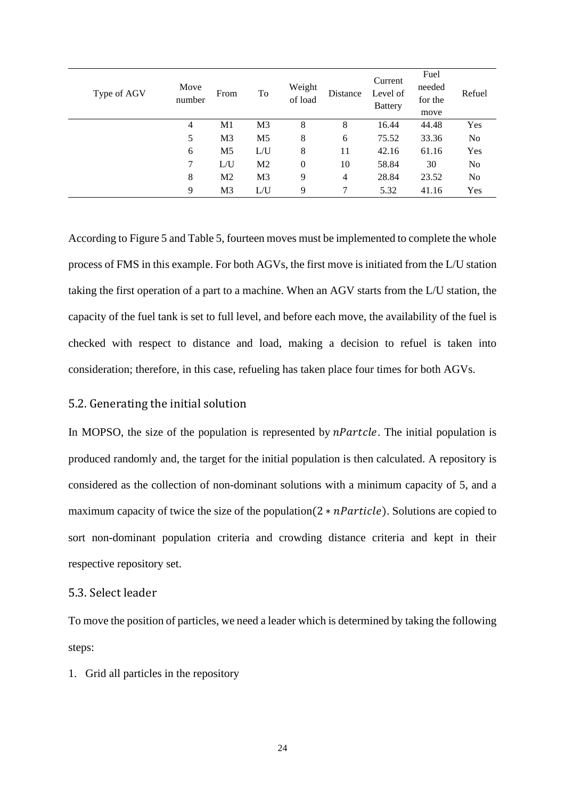| Type of AGV | Move<br>number | From           | To             | Weight<br>of load | Distance       | Current<br>Level of<br><b>Battery</b> | Fuel<br>needed<br>for the<br>move | Refuel         |
|-------------|----------------|----------------|----------------|-------------------|----------------|---------------------------------------|-----------------------------------|----------------|
|             | 4              | M1             | M <sub>3</sub> | 8                 | 8              | 16.44                                 | 44.48                             | Yes            |
|             | 5              | M <sub>3</sub> | M <sub>5</sub> | 8                 | 6              | 75.52                                 | 33.36                             | N <sub>0</sub> |
|             | 6              | M <sub>5</sub> | L/U            | 8                 | 11             | 42.16                                 | 61.16                             | Yes            |
|             | 7              | L/U            | M <sub>2</sub> | $\theta$          | 10             | 58.84                                 | 30                                | N <sub>0</sub> |
|             | 8              | M <sub>2</sub> | M <sub>3</sub> | 9                 | $\overline{4}$ | 28.84                                 | 23.52                             | N <sub>0</sub> |
|             | 9              | M <sub>3</sub> | L/U            | 9                 | 7              | 5.32                                  | 41.16                             | Yes            |

According t[o Figure 5](#page-22-0) and [Table 5,](#page-22-1) fourteen moves must be implemented to complete the whole process of FMS in this example. For both AGVs, the first move is initiated from the L/U station taking the first operation of a part to a machine. When an AGV starts from the L/U station, the capacity of the fuel tank is set to full level, and before each move, the availability of the fuel is checked with respect to distance and load, making a decision to refuel is taken into consideration; therefore, in this case, refueling has taken place four times for both AGVs.

#### 5.2. Generating the initial solution

In MOPSO, the size of the population is represented by  $n\text{Particle}$ . The initial population is produced randomly and, the target for the initial population is then calculated. A repository is considered as the collection of non-dominant solutions with a minimum capacity of 5, and a maximum capacity of twice the size of the population( $2 * n$ Particle). Solutions are copied to sort non-dominant population criteria and crowding distance criteria and kept in their respective repository set.

### 5.3. Select leader

To move the position of particles, we need a leader which is determined by taking the following steps:

1. Grid all particles in the repository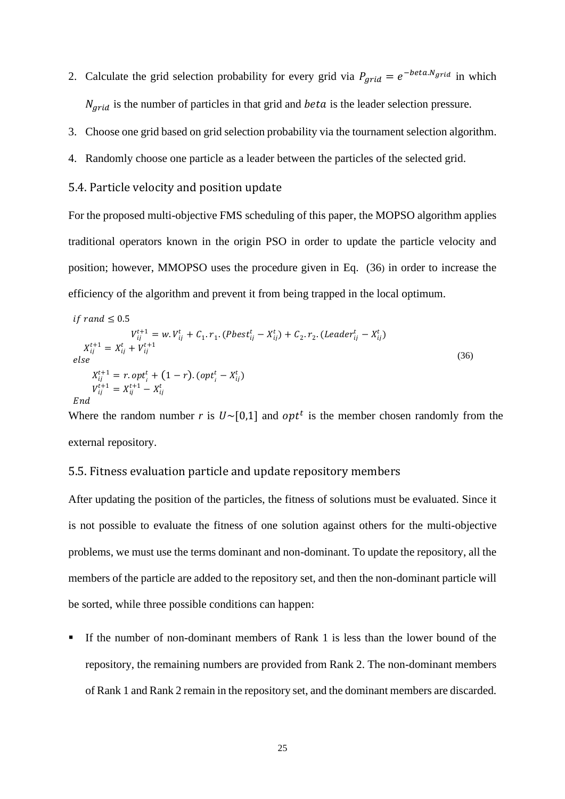- 2. Calculate the grid selection probability for every grid via  $P_{grid} = e^{-beta.Ngrid}$  in which  $N_{grid}$  is the number of particles in that grid and *beta* is the leader selection pressure.
- 3. Choose one grid based on grid selection probability via the tournament selection algorithm.
- 4. Randomly choose one particle as a leader between the particles of the selected grid.

### 5.4. Particle velocity and position update

For the proposed multi-objective FMS scheduling of this paper, the MOPSO algorithm applies traditional operators known in the origin PSO in order to update the particle velocity and position; however, MMOPSO uses the procedure given in Eq. [\(36](#page-24-0)[\)](#page-24-0) in order to increase the efficiency of the algorithm and prevent it from being trapped in the local optimum.

<span id="page-24-0"></span>
$$
if \, rand \leq 0.5
$$
\n
$$
V_{ij}^{t+1} = w. V_{ij}^t + C_1. r_1. (Pbest_{ij}^t - X_{ij}^t) + C_2. r_2. (Leader_{ij}^t - X_{ij}^t)
$$
\n
$$
X_{ij}^{t+1} = X_{ij}^t + V_{ij}^{t+1}
$$
\n
$$
else
$$
\n
$$
X_{ij}^{t+1} = r. opt_i^t + (1 - r). (opt_i^t - X_{ij}^t)
$$
\n
$$
V_{ij}^{t+1} = X_{ij}^{t+1} - X_{ij}^t
$$
\n
$$
End
$$
\n(36)

Where the random number *r* is  $U \sim [0,1]$  and opt<sup>t</sup> is the member chosen randomly from the external repository.

#### 5.5. Fitness evaluation particle and update repository members

After updating the position of the particles, the fitness of solutions must be evaluated. Since it is not possible to evaluate the fitness of one solution against others for the multi-objective problems, we must use the terms dominant and non-dominant. To update the repository, all the members of the particle are added to the repository set, and then the non-dominant particle will be sorted, while three possible conditions can happen:

**■** If the number of non-dominant members of Rank 1 is less than the lower bound of the repository, the remaining numbers are provided from Rank 2. The non-dominant members of Rank 1 and Rank 2 remain in the repository set, and the dominant members are discarded.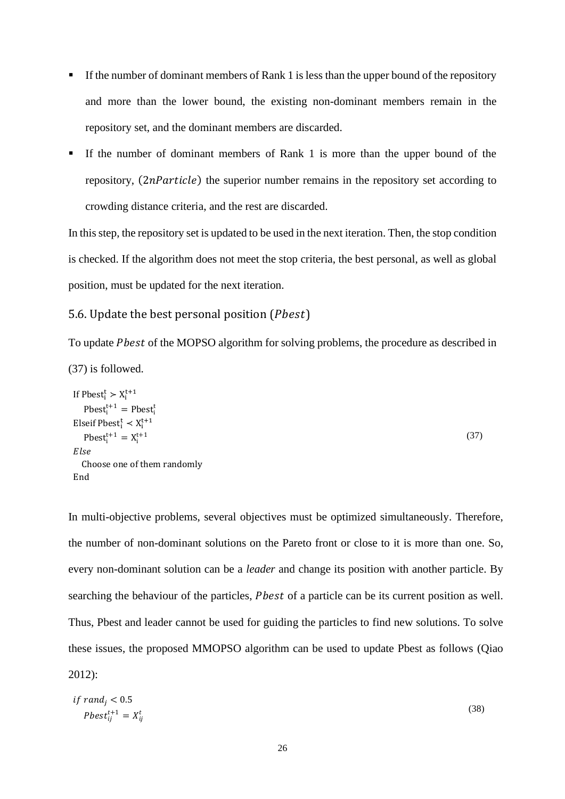- **EXECUTE:** If the number of dominant members of Rank 1 is less than the upper bound of the repository and more than the lower bound, the existing non-dominant members remain in the repository set, and the dominant members are discarded.
- If the number of dominant members of Rank 1 is more than the upper bound of the repository,  $(2n$ Particle) the superior number remains in the repository set according to crowding distance criteria, and the rest are discarded.

In this step, the repository set is updated to be used in the next iteration. Then, the stop condition is checked. If the algorithm does not meet the stop criteria, the best personal, as well as global position, must be updated for the next iteration.

#### 5.6. Update the best personal position  $(Pbest)$

To update *Pbest* of the MOPSO algorithm for solving problems, the procedure as described in [\(37\)](#page-25-0) is followed.

```
If Pbest_i^t > X_i^{t+1}(37)
   Pbest_i^{t+1} = Pbest_i^tElseif Pbestt_i^t \prec X_i^{t+1}Pbest_i^{t+1} = X_i^{t+1}Else
  Choose one of them randomly
End
```
In multi-objective problems, several objectives must be optimized simultaneously. Therefore, the number of non-dominant solutions on the Pareto front or close to it is more than one. So, every non-dominant solution can be a *leader* and change its position with another particle. By searching the behaviour of the particles, *Pbest* of a particle can be its current position as well. Thus, Pbest and leader cannot be used for guiding the particles to find new solutions. To solve these issues, the proposed MMOPSO algorithm can be used to update Pbest as follows (Qiao 2012):

$$
if \, rand_j < 0.5 \\
 \quad \textit{Pbest}_{ij}^{t+1} = X_{ij}^t \tag{38}
$$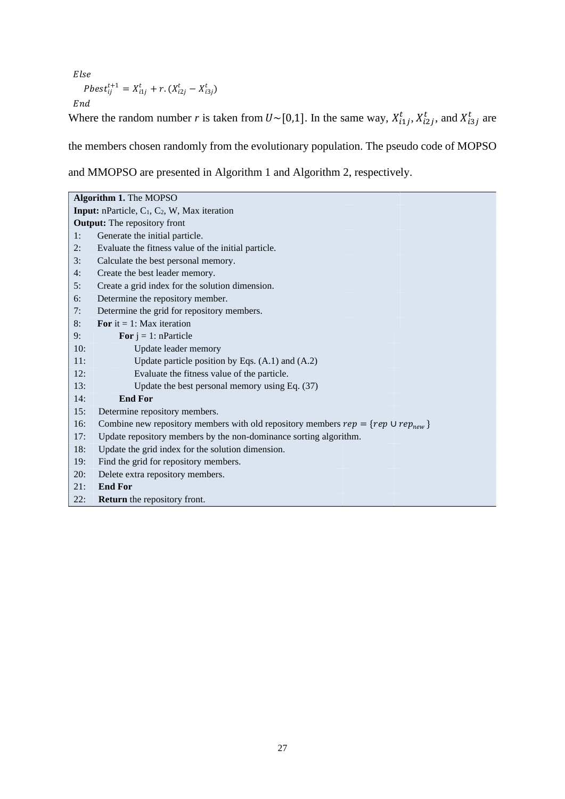$Else$ 

$$
Pbest_{ij}^{t+1} = X_{i1j}^t + r \cdot (X_{i2j}^t - X_{i3j}^t)
$$

 $\it{End}$ 

Where the random number *r* is taken from  $U \sim [0,1]$ . In the same way,  $X_{i1j}^t$ ,  $X_{i2j}^t$ , and  $X_{i3j}^t$  are

the members chosen randomly from the evolutionary population. The pseudo code of MOPSO

and MMOPSO are presented in Algorithm 1 and Algorithm 2, respectively.

|     | Algorithm 1. The MOPSO                                                                     |
|-----|--------------------------------------------------------------------------------------------|
|     | <b>Input:</b> nParticle, $C_1$ , $C_2$ , W, Max iteration                                  |
|     | <b>Output:</b> The repository front                                                        |
| 1:  | Generate the initial particle.                                                             |
| 2:  | Evaluate the fitness value of the initial particle.                                        |
| 3:  | Calculate the best personal memory.                                                        |
| 4:  | Create the best leader memory.                                                             |
| 5:  | Create a grid index for the solution dimension.                                            |
| 6:  | Determine the repository member.                                                           |
| 7:  | Determine the grid for repository members.                                                 |
| 8:  | For it = 1: Max iteration                                                                  |
| 9:  | For $j = 1$ : nParticle                                                                    |
| 10: | Update leader memory                                                                       |
| 11: | Update particle position by Eqs. $(A.1)$ and $(A.2)$                                       |
| 12: | Evaluate the fitness value of the particle.                                                |
| 13: | Update the best personal memory using Eq. (37)                                             |
| 14: | <b>End For</b>                                                                             |
| 15: | Determine repository members.                                                              |
| 16: | Combine new repository members with old repository members $rep = \{rep \cup rep_{new}\}\$ |
| 17: | Update repository members by the non-dominance sorting algorithm.                          |
| 18: | Update the grid index for the solution dimension.                                          |
| 19: | Find the grid for repository members.                                                      |
| 20: | Delete extra repository members.                                                           |
| 21: | <b>End For</b>                                                                             |
| 22: | <b>Return</b> the repository front.                                                        |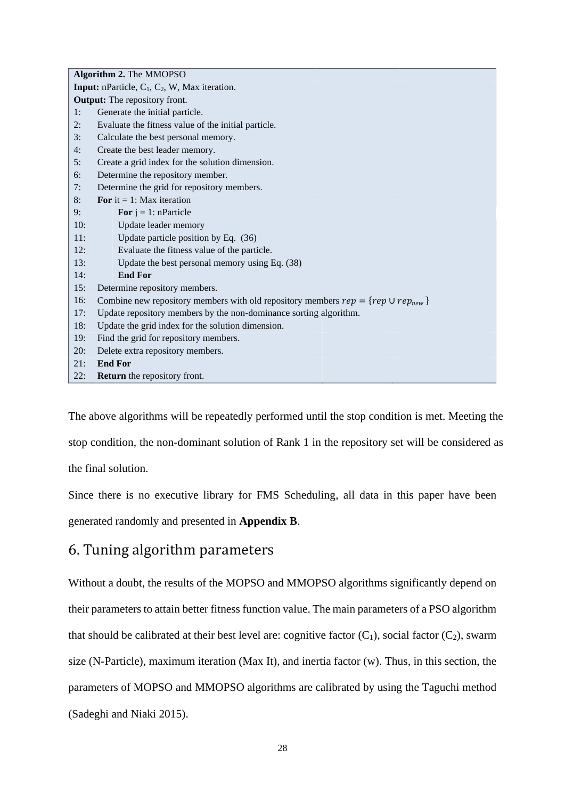|     | Algorithm 2. The MMOPSO                                                                    |
|-----|--------------------------------------------------------------------------------------------|
|     | <b>Input:</b> nParticle, $C_1$ , $C_2$ , W, Max iteration.                                 |
|     | <b>Output:</b> The repository front.                                                       |
| 1:  | Generate the initial particle.                                                             |
| 2:  | Evaluate the fitness value of the initial particle.                                        |
| 3:  | Calculate the best personal memory.                                                        |
| 4:  | Create the best leader memory.                                                             |
| 5:  | Create a grid index for the solution dimension.                                            |
| 6:  | Determine the repository member.                                                           |
| 7:  | Determine the grid for repository members.                                                 |
| 8:  | For it = 1: Max iteration                                                                  |
| 9:  | For $j = 1$ : nParticle                                                                    |
| 10: | Update leader memory                                                                       |
| 11: | Update particle position by Eq. (36)                                                       |
| 12: | Evaluate the fitness value of the particle.                                                |
| 13: | Update the best personal memory using Eq. (38)                                             |
| 14: | <b>End For</b>                                                                             |
| 15: | Determine repository members.                                                              |
| 16: | Combine new repository members with old repository members $rep = \{rep \cup rep_{new}\}\$ |
| 17: | Update repository members by the non-dominance sorting algorithm.                          |
| 18: | Update the grid index for the solution dimension.                                          |
| 19: | Find the grid for repository members.                                                      |
| 20: | Delete extra repository members.                                                           |
| 21: | <b>End For</b>                                                                             |
| 22: | <b>Return</b> the repository front.                                                        |

The above algorithms will be repeatedly performed until the stop condition is met. Meeting the stop condition, the non-dominant solution of Rank 1 in the repository set will be considered as the final solution.

Since there is no executive library for FMS Scheduling, all data in this paper have been generated randomly and presented in **Appendix B**.

# 6. Tuning algorithm parameters

Without a doubt, the results of the MOPSO and MMOPSO algorithms significantly depend on their parameters to attain better fitness function value. The main parameters of a PSO algorithm that should be calibrated at their best level are: cognitive factor  $(C_1)$ , social factor  $(C_2)$ , swarm size (N-Particle), maximum iteration (Max It), and inertia factor (w). Thus, in this section, the parameters of MOPSO and MMOPSO algorithms are calibrated by using the Taguchi method (Sadeghi and Niaki 2015).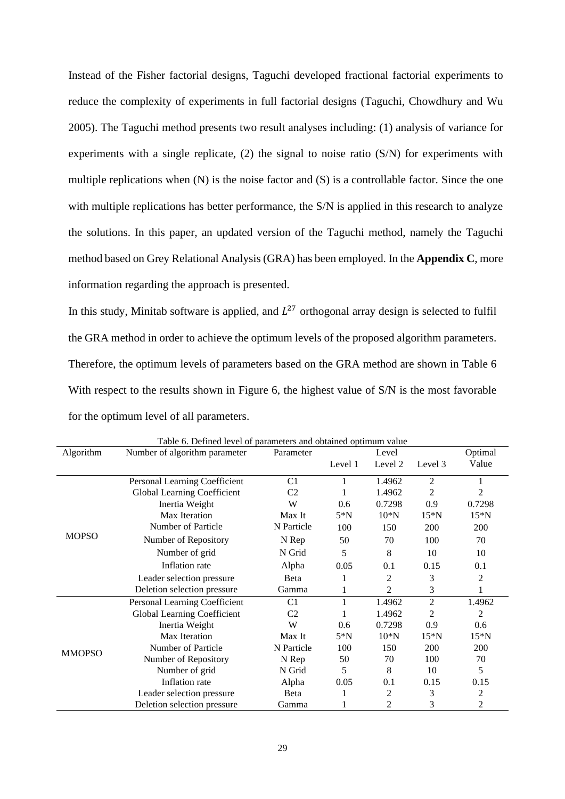Instead of the Fisher factorial designs, Taguchi developed fractional factorial experiments to reduce the complexity of experiments in full factorial designs (Taguchi, Chowdhury and Wu 2005). The Taguchi method presents two result analyses including: (1) analysis of variance for experiments with a single replicate, (2) the signal to noise ratio (S/N) for experiments with multiple replications when (N) is the noise factor and (S) is a controllable factor. Since the one with multiple replications has better performance, the S/N is applied in this research to analyze the solutions. In this paper, an updated version of the Taguchi method, namely the Taguchi method based on Grey Relational Analysis (GRA) has been employed. In the **Appendix C**, more information regarding the approach is presented.

In this study, Minitab software is applied, and  $L^{27}$  orthogonal array design is selected to fulfil the GRA method in order to achieve the optimum levels of the proposed algorithm parameters. Therefore, the optimum levels of parameters based on the GRA method are shown in [Table 6](#page-28-0) With respect to the results shown in [Figure 6,](#page-29-0) the highest value of S/N is the most favorable for the optimum level of all parameters.

<span id="page-28-0"></span>

|               | Table 6. Defined level of parameters and obtained optimum value |                |         |         |                |                |
|---------------|-----------------------------------------------------------------|----------------|---------|---------|----------------|----------------|
| Algorithm     | Number of algorithm parameter                                   | Parameter      |         | Level   |                | Optimal        |
|               |                                                                 |                | Level 1 | Level 2 | Level 3        | Value          |
|               | Personal Learning Coefficient                                   | C1             |         | 1.4962  | 2              | 1              |
|               |                                                                 |                |         |         |                |                |
|               | Global Learning Coefficient                                     | C <sub>2</sub> |         | 1.4962  | $\overline{c}$ | 2              |
|               | Inertia Weight                                                  | W              | 0.6     | 0.7298  | 0.9            | 0.7298         |
|               | Max Iteration                                                   | Max It         | $5*N$   | $10^*N$ | $15*N$         | $15*N$         |
|               | Number of Particle                                              | N Particle     | 100     | 150     | 200            | 200            |
| <b>MOPSO</b>  | Number of Repository                                            | N Rep          | 50      | 70      | 100            | 70             |
|               | Number of grid                                                  | N Grid         | 5       | 8       | 10             | 10             |
|               | Inflation rate                                                  | Alpha          | 0.05    | 0.1     | 0.15           | 0.1            |
|               | Leader selection pressure                                       | Beta           |         | 2       | 3              | 2              |
|               | Deletion selection pressure                                     | Gamma          |         | 2       | 3              | 1              |
|               | Personal Learning Coefficient                                   | C1             |         | 1.4962  | $\overline{2}$ | 1.4962         |
|               | Global Learning Coefficient                                     | C <sub>2</sub> |         | 1.4962  | $\overline{c}$ | $\overline{2}$ |
|               | Inertia Weight                                                  | W              | 0.6     | 0.7298  | 0.9            | 0.6            |
|               | Max Iteration                                                   | Max It         | $5*N$   | $10^*N$ | $15*N$         | $15*N$         |
| <b>MMOPSO</b> | Number of Particle                                              | N Particle     | 100     | 150     | 200            | 200            |
|               | Number of Repository                                            | N Rep          | 50      | 70      | 100            | 70             |
|               | Number of grid                                                  | N Grid         | 5       | 8       | 10             | 5              |
|               | Inflation rate                                                  | Alpha          | 0.05    | 0.1     | 0.15           | 0.15           |
|               | Leader selection pressure                                       | Beta           |         | 2       | 3              | $\overline{c}$ |
|               | Deletion selection pressure                                     | Gamma          |         | 2       | 3              | $\mathfrak{2}$ |

Table 6. Defined level of parameters and obtained optimum value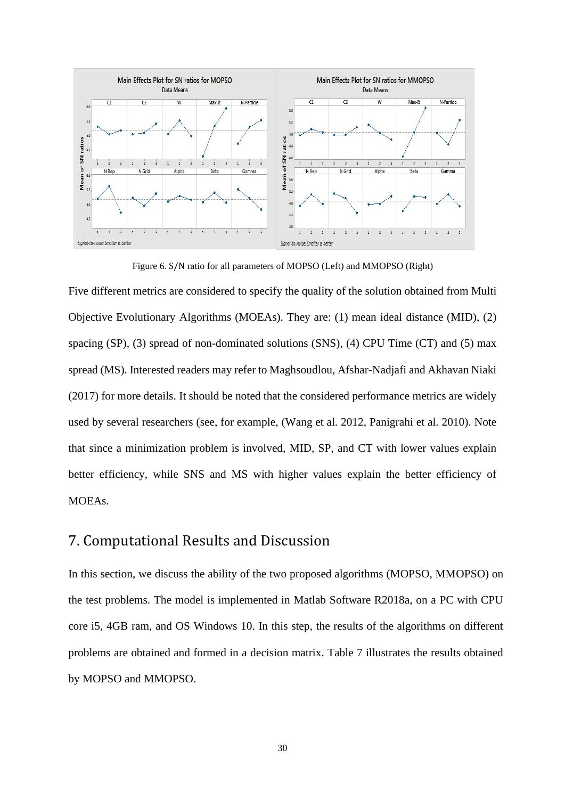

Figure 6. S/N ratio for all parameters of MOPSO (Left) and MMOPSO (Right)

<span id="page-29-0"></span>Five different metrics are considered to specify the quality of the solution obtained from Multi Objective Evolutionary Algorithms (MOEAs). They are: (1) mean ideal distance (MID), (2) spacing (SP), (3) spread of non-dominated solutions (SNS), (4) CPU Time (CT) and (5) max spread (MS). Interested readers may refer to Maghsoudlou, Afshar-Nadjafi and Akhavan Niaki (2017) for more details. It should be noted that the considered performance metrics are widely used by several researchers (see, for example, (Wang et al. 2012, Panigrahi et al. 2010). Note that since a minimization problem is involved, MID, SP, and CT with lower values explain better efficiency, while SNS and MS with higher values explain the better efficiency of MOEAs.

### 7. Computational Results and Discussion

In this section, we discuss the ability of the two proposed algorithms (MOPSO, MMOPSO) on the test problems. The model is implemented in Matlab Software R2018a, on a PC with CPU core i5, 4GB ram, and OS Windows 10. In this step, the results of the algorithms on different problems are obtained and formed in a decision matrix. [Table 7](#page-30-0) illustrates the results obtained by MOPSO and MMOPSO.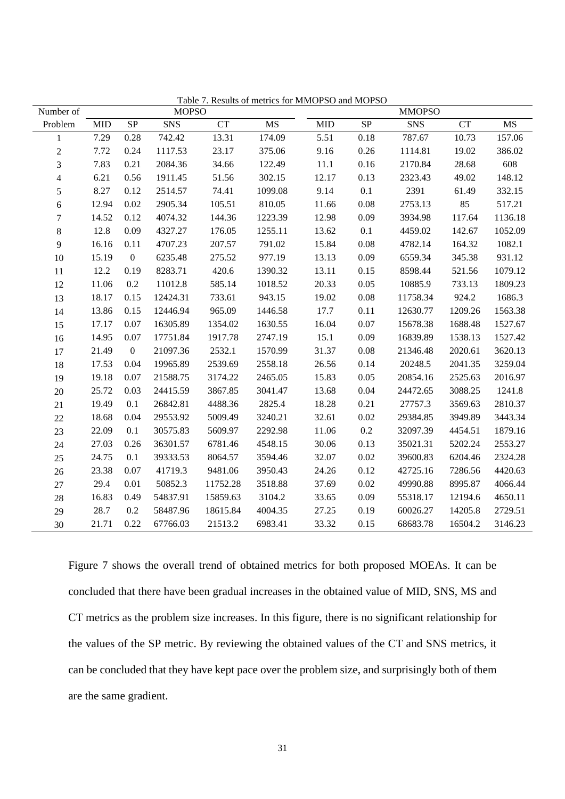<span id="page-30-0"></span>

| Number of        |            |                  | <b>MOPSO</b> | Table 7. Results of flictrics for NINTOT DO and MOT DO |           |            |                 | <b>MMOPSO</b> |         |           |
|------------------|------------|------------------|--------------|--------------------------------------------------------|-----------|------------|-----------------|---------------|---------|-----------|
| Problem          | <b>MID</b> | ${\rm SP}$       | SNS          | ${\cal C}{\cal T}$                                     | <b>MS</b> | <b>MID</b> | $\overline{SP}$ | SNS           | CT      | <b>MS</b> |
| $\mathbf{1}$     | 7.29       | 0.28             | 742.42       | 13.31                                                  | 174.09    | 5.51       | 0.18            | 787.67        | 10.73   | 157.06    |
| $\boldsymbol{2}$ | 7.72       | 0.24             | 1117.53      | 23.17                                                  | 375.06    | 9.16       | 0.26            | 1114.81       | 19.02   | 386.02    |
| 3                | 7.83       | 0.21             | 2084.36      | 34.66                                                  | 122.49    | $11.1\,$   | $0.16\,$        | 2170.84       | 28.68   | 608       |
| $\overline{4}$   | 6.21       | 0.56             | 1911.45      | 51.56                                                  | 302.15    | 12.17      | 0.13            | 2323.43       | 49.02   | 148.12    |
| $\mathfrak s$    | 8.27       | 0.12             | 2514.57      | 74.41                                                  | 1099.08   | 9.14       | 0.1             | 2391          | 61.49   | 332.15    |
| $\sqrt{6}$       | 12.94      | 0.02             | 2905.34      | 105.51                                                 | 810.05    | 11.66      | 0.08            | 2753.13       | 85      | 517.21    |
| $\boldsymbol{7}$ | 14.52      | 0.12             | 4074.32      | 144.36                                                 | 1223.39   | 12.98      | 0.09            | 3934.98       | 117.64  | 1136.18   |
| $8\,$            | 12.8       | 0.09             | 4327.27      | 176.05                                                 | 1255.11   | 13.62      | 0.1             | 4459.02       | 142.67  | 1052.09   |
| $\mathbf{9}$     | 16.16      | 0.11             | 4707.23      | 207.57                                                 | 791.02    | 15.84      | 0.08            | 4782.14       | 164.32  | 1082.1    |
| 10               | 15.19      | $\boldsymbol{0}$ | 6235.48      | 275.52                                                 | 977.19    | 13.13      | 0.09            | 6559.34       | 345.38  | 931.12    |
| 11               | 12.2       | 0.19             | 8283.71      | 420.6                                                  | 1390.32   | 13.11      | 0.15            | 8598.44       | 521.56  | 1079.12   |
| 12               | 11.06      | 0.2              | 11012.8      | 585.14                                                 | 1018.52   | 20.33      | 0.05            | 10885.9       | 733.13  | 1809.23   |
| 13               | 18.17      | 0.15             | 12424.31     | 733.61                                                 | 943.15    | 19.02      | 0.08            | 11758.34      | 924.2   | 1686.3    |
| 14               | 13.86      | 0.15             | 12446.94     | 965.09                                                 | 1446.58   | 17.7       | 0.11            | 12630.77      | 1209.26 | 1563.38   |
| 15               | 17.17      | 0.07             | 16305.89     | 1354.02                                                | 1630.55   | 16.04      | 0.07            | 15678.38      | 1688.48 | 1527.67   |
| 16               | 14.95      | 0.07             | 17751.84     | 1917.78                                                | 2747.19   | 15.1       | 0.09            | 16839.89      | 1538.13 | 1527.42   |
| 17               | 21.49      | $\boldsymbol{0}$ | 21097.36     | 2532.1                                                 | 1570.99   | 31.37      | 0.08            | 21346.48      | 2020.61 | 3620.13   |
| 18               | 17.53      | 0.04             | 19965.89     | 2539.69                                                | 2558.18   | 26.56      | 0.14            | 20248.5       | 2041.35 | 3259.04   |
| 19               | 19.18      | 0.07             | 21588.75     | 3174.22                                                | 2465.05   | 15.83      | 0.05            | 20854.16      | 2525.63 | 2016.97   |
| 20               | 25.72      | 0.03             | 24415.59     | 3867.85                                                | 3041.47   | 13.68      | 0.04            | 24472.65      | 3088.25 | 1241.8    |
| 21               | 19.49      | 0.1              | 26842.81     | 4488.36                                                | 2825.4    | 18.28      | 0.21            | 27757.3       | 3569.63 | 2810.37   |
| $22\,$           | 18.68      | 0.04             | 29553.92     | 5009.49                                                | 3240.21   | 32.61      | 0.02            | 29384.85      | 3949.89 | 3443.34   |
| 23               | 22.09      | 0.1              | 30575.83     | 5609.97                                                | 2292.98   | 11.06      | 0.2             | 32097.39      | 4454.51 | 1879.16   |
| 24               | 27.03      | 0.26             | 36301.57     | 6781.46                                                | 4548.15   | 30.06      | 0.13            | 35021.31      | 5202.24 | 2553.27   |
| 25               | 24.75      | 0.1              | 39333.53     | 8064.57                                                | 3594.46   | 32.07      | 0.02            | 39600.83      | 6204.46 | 2324.28   |
| 26               | 23.38      | 0.07             | 41719.3      | 9481.06                                                | 3950.43   | 24.26      | 0.12            | 42725.16      | 7286.56 | 4420.63   |
| $27\,$           | 29.4       | 0.01             | 50852.3      | 11752.28                                               | 3518.88   | 37.69      | 0.02            | 49990.88      | 8995.87 | 4066.44   |
| $28\,$           | 16.83      | 0.49             | 54837.91     | 15859.63                                               | 3104.2    | 33.65      | 0.09            | 55318.17      | 12194.6 | 4650.11   |
| 29               | 28.7       | 0.2              | 58487.96     | 18615.84                                               | 4004.35   | 27.25      | 0.19            | 60026.27      | 14205.8 | 2729.51   |
| 30               | 21.71      | 0.22             | 67766.03     | 21513.2                                                | 6983.41   | 33.32      | 0.15            | 68683.78      | 16504.2 | 3146.23   |

Table 7. Results of metrics for MMOPSO and MOPSO

[Figure 7](#page-31-0) shows the overall trend of obtained metrics for both proposed MOEAs. It can be concluded that there have been gradual increases in the obtained value of MID, SNS, MS and CT metrics as the problem size increases. In this figure, there is no significant relationship for the values of the SP metric. By reviewing the obtained values of the CT and SNS metrics, it can be concluded that they have kept pace over the problem size, and surprisingly both of them are the same gradient.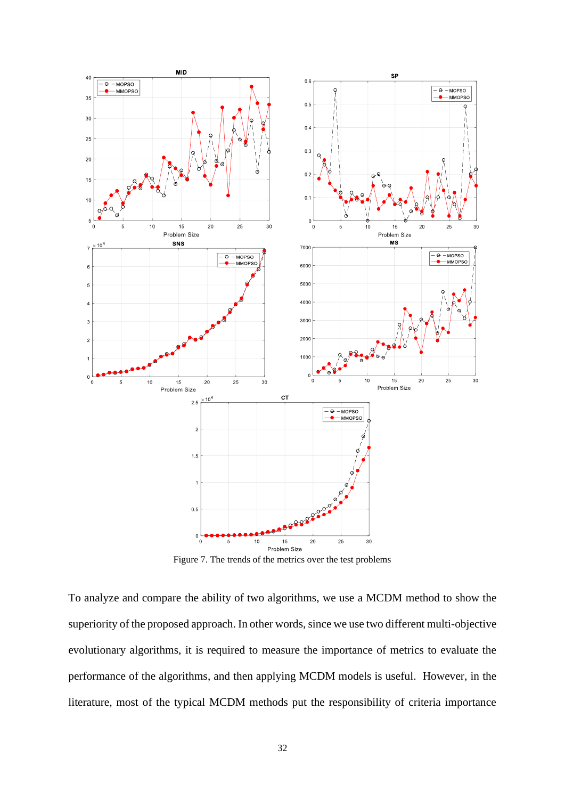

Figure 7. The trends of the metrics over the test problems

<span id="page-31-0"></span>To analyze and compare the ability of two algorithms, we use a MCDM method to show the superiority of the proposed approach. In other words, since we use two different multi-objective evolutionary algorithms, it is required to measure the importance of metrics to evaluate the performance of the algorithms, and then applying MCDM models is useful. However, in the literature, most of the typical MCDM methods put the responsibility of criteria importance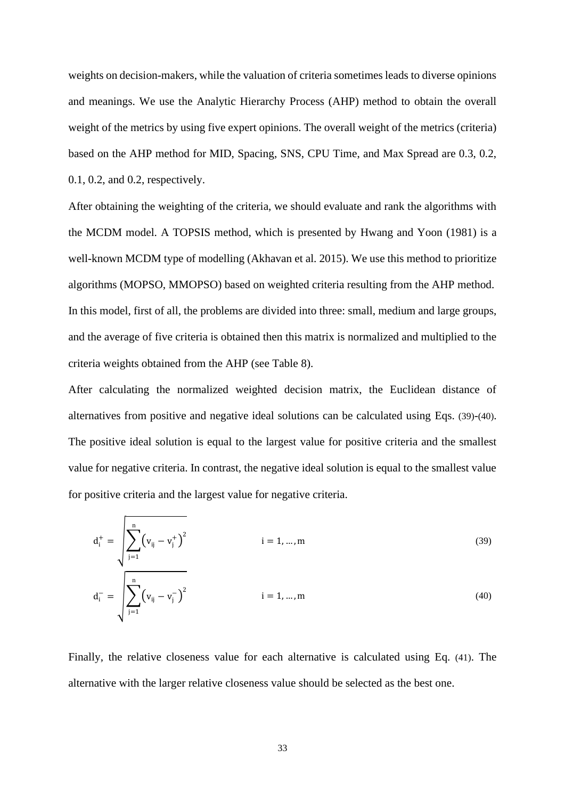weights on decision-makers, while the valuation of criteria sometimes leads to diverse opinions and meanings. We use the Analytic Hierarchy Process (AHP) method to obtain the overall weight of the metrics by using five expert opinions. The overall weight of the metrics (criteria) based on the AHP method for MID, Spacing, SNS, CPU Time, and Max Spread are 0.3, 0.2, 0.1, 0.2, and 0.2, respectively.

After obtaining the weighting of the criteria, we should evaluate and rank the algorithms with the MCDM model. A TOPSIS method, which is presented by Hwang and Yoon (1981) is a well-known MCDM type of modelling (Akhavan et al. 2015). We use this method to prioritize algorithms (MOPSO, MMOPSO) based on weighted criteria resulting from the AHP method. In this model, first of all, the problems are divided into three: small, medium and large groups, and the average of five criteria is obtained then this matrix is normalized and multiplied to the criteria weights obtained from the AHP (see [Table 8\)](#page-33-0).

After calculating the normalized weighted decision matrix, the Euclidean distance of alternatives from positive and negative ideal solutions can be calculated using Eqs. [\(39\)](#page-32-0)-[\(40\)](#page-32-1). The positive ideal solution is equal to the largest value for positive criteria and the smallest value for negative criteria. In contrast, the negative ideal solution is equal to the smallest value for positive criteria and the largest value for negative criteria.

<span id="page-32-1"></span><span id="page-32-0"></span>
$$
d_{i}^{+} = \sqrt{\sum_{j=1}^{n} (v_{ij} - v_{j}^{+})^{2}}
$$
   
  $i = 1,..., m$  (39)  

$$
d_{i}^{-} = \sqrt{\sum_{j=1}^{n} (v_{ij} - v_{j}^{-})^{2}}
$$
   
  $i = 1,..., m$  (40)

Finally, the relative closeness value for each alternative is calculated using Eq. [\(41\)](#page-33-1). The alternative with the larger relative closeness value should be selected as the best one.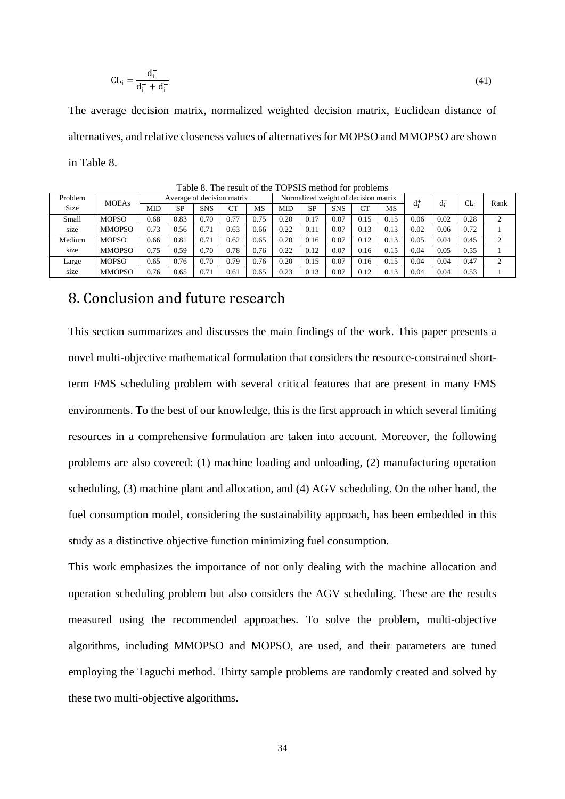$$
CL_i = \frac{d_i^-}{d_i^- + d_i^+} \tag{41}
$$

The average decision matrix, normalized weighted decision matrix, Euclidean distance of alternatives, and relative closeness values of alternatives for MOPSO and MMOPSO are shown in [Table 8.](#page-33-0)

<span id="page-33-0"></span>

| Problem        | <b>MOEAs</b>  | Average of decision matrix |           |            |           |      | Normalized weight of decision matrix |      |            |      |      | d.+  | $d_i^-$ | CL:  | Rank      |
|----------------|---------------|----------------------------|-----------|------------|-----------|------|--------------------------------------|------|------------|------|------|------|---------|------|-----------|
| Size           |               | MID                        | <b>SP</b> | <b>SNS</b> | <b>CT</b> | MS   | <b>MID</b>                           | SP   | <b>SNS</b> | CТ   | MS   |      |         |      |           |
| Small          | <b>MOPSO</b>  | 0.68                       | 0.83      | 0.70       | 0.77      | 0.75 | 0.20                                 | 0.17 | 0.07       | 0.15 | 0.15 | 0.06 | 0.02    | 0.28 |           |
| size           | <b>MMOPSO</b> | 0.73                       | 0.56      | 0.71       | 0.63      | 0.66 | 0.22                                 | 0.11 | 0.07       | 0.13 | 0.13 | 0.02 | 0.06    | 0.72 |           |
| Medium         | <b>MOPSO</b>  | 0.66                       | 0.81      | 0.71       | 0.62      | 0.65 | 0.20                                 | 0.16 | 0.07       | 0.12 | 0.13 | 0.05 | 0.04    | 0.45 | $\bigcap$ |
| size           | <b>MMOPSO</b> | 0.75                       | 0.59      | 0.70       | 0.78      | 0.76 | 0.22                                 | 0.12 | 0.07       | 0.16 | 0.15 | 0.04 | 0.05    | 0.55 |           |
| $_{\rm Large}$ | <b>MOPSO</b>  | 0.65                       | 0.76      | 0.70       | 0.79      | 0.76 | 0.20                                 | 0.15 | 0.07       | 0.16 | 0.15 | 0.04 | 0.04    | 0.47 | $\bigcap$ |
| size           | <b>MMOPSO</b> | 0.76                       | 0.65      | 0.71       | 0.61      | 0.65 | 0.23                                 | 0.13 | 0.07       | 0.12 | 0.13 | 0.04 | 0.04    | 0.53 |           |

<span id="page-33-1"></span>Table 8. The result of the TOPSIS method for problems

# 8. Conclusion and future research

This section summarizes and discusses the main findings of the work. This paper presents a novel multi-objective mathematical formulation that considers the resource-constrained shortterm FMS scheduling problem with several critical features that are present in many FMS environments. To the best of our knowledge, this is the first approach in which several limiting resources in a comprehensive formulation are taken into account. Moreover, the following problems are also covered: (1) machine loading and unloading, (2) manufacturing operation scheduling, (3) machine plant and allocation, and (4) AGV scheduling. On the other hand, the fuel consumption model, considering the sustainability approach, has been embedded in this study as a distinctive objective function minimizing fuel consumption.

This work emphasizes the importance of not only dealing with the machine allocation and operation scheduling problem but also considers the AGV scheduling. These are the results measured using the recommended approaches. To solve the problem, multi-objective algorithms, including MMOPSO and MOPSO, are used, and their parameters are tuned employing the Taguchi method. Thirty sample problems are randomly created and solved by these two multi-objective algorithms.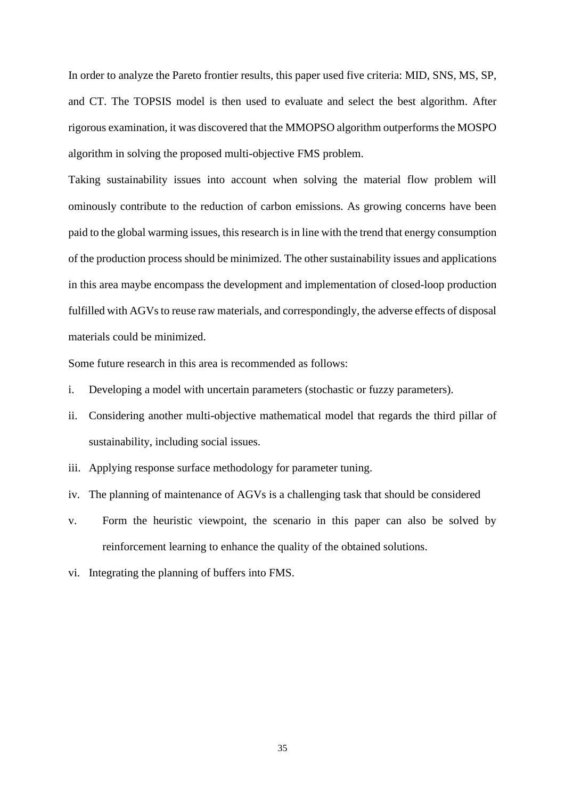In order to analyze the Pareto frontier results, this paper used five criteria: MID, SNS, MS, SP, and CT. The TOPSIS model is then used to evaluate and select the best algorithm. After rigorous examination, it was discovered that the MMOPSO algorithm outperforms the MOSPO algorithm in solving the proposed multi-objective FMS problem.

Taking sustainability issues into account when solving the material flow problem will ominously contribute to the reduction of carbon emissions. As growing concerns have been paid to the global warming issues, this research is in line with the trend that energy consumption of the production process should be minimized. The other sustainability issues and applications in this area maybe encompass the development and implementation of closed-loop production fulfilled with AGVs to reuse raw materials, and correspondingly, the adverse effects of disposal materials could be minimized.

Some future research in this area is recommended as follows:

- i. Developing a model with uncertain parameters (stochastic or fuzzy parameters).
- ii. Considering another multi-objective mathematical model that regards the third pillar of sustainability, including social issues.
- iii. Applying response surface methodology for parameter tuning.
- iv. The planning of maintenance of AGVs is a challenging task that should be considered
- v. Form the heuristic viewpoint, the scenario in this paper can also be solved by reinforcement learning to enhance the quality of the obtained solutions.
- vi. Integrating the planning of buffers into FMS.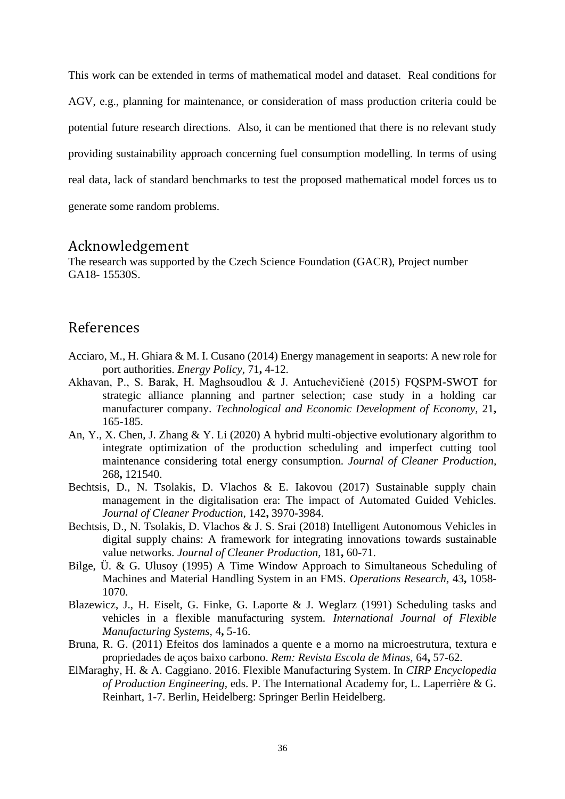This work can be extended in terms of mathematical model and dataset. Real conditions for AGV, e.g., planning for maintenance, or consideration of mass production criteria could be potential future research directions. Also, it can be mentioned that there is no relevant study providing sustainability approach concerning fuel consumption modelling. In terms of using real data, lack of standard benchmarks to test the proposed mathematical model forces us to generate some random problems.

### Acknowledgement

The research was supported by the Czech Science Foundation (GACR), Project number GA18- 15530S.

### References

- Acciaro, M., H. Ghiara & M. I. Cusano (2014) Energy management in seaports: A new role for port authorities. *Energy Policy,* 71**,** 4-12.
- Akhavan, P., S. Barak, H. Maghsoudlou & J. Antuchevičienė (2015) FQSPM-SWOT for strategic alliance planning and partner selection; case study in a holding car manufacturer company. *Technological and Economic Development of Economy,* 21**,** 165-185.
- An, Y., X. Chen, J. Zhang & Y. Li (2020) A hybrid multi-objective evolutionary algorithm to integrate optimization of the production scheduling and imperfect cutting tool maintenance considering total energy consumption. *Journal of Cleaner Production,* 268**,** 121540.
- Bechtsis, D., N. Tsolakis, D. Vlachos & E. Iakovou (2017) Sustainable supply chain management in the digitalisation era: The impact of Automated Guided Vehicles. *Journal of Cleaner Production,* 142**,** 3970-3984.
- Bechtsis, D., N. Tsolakis, D. Vlachos & J. S. Srai (2018) Intelligent Autonomous Vehicles in digital supply chains: A framework for integrating innovations towards sustainable value networks. *Journal of Cleaner Production,* 181**,** 60-71.
- Bilge, Ü. & G. Ulusoy (1995) A Time Window Approach to Simultaneous Scheduling of Machines and Material Handling System in an FMS. *Operations Research,* 43**,** 1058- 1070.
- Blazewicz, J., H. Eiselt, G. Finke, G. Laporte & J. Weglarz (1991) Scheduling tasks and vehicles in a flexible manufacturing system. *International Journal of Flexible Manufacturing Systems,* 4**,** 5-16.
- Bruna, R. G. (2011) Efeitos dos laminados a quente e a morno na microestrutura, textura e propriedades de aços baixo carbono. *Rem: Revista Escola de Minas,* 64**,** 57-62.
- ElMaraghy, H. & A. Caggiano. 2016. Flexible Manufacturing System. In *CIRP Encyclopedia of Production Engineering,* eds. P. The International Academy for, L. Laperrière & G. Reinhart, 1-7. Berlin, Heidelberg: Springer Berlin Heidelberg.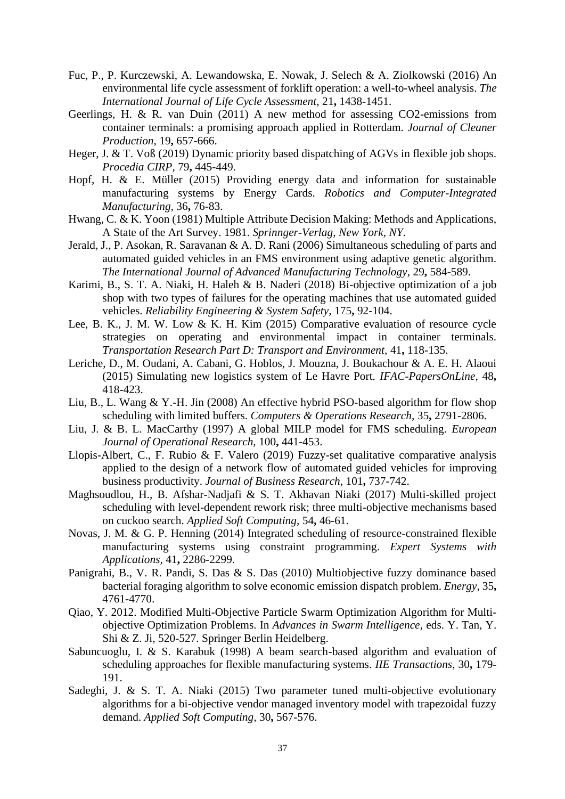- Fuc, P., P. Kurczewski, A. Lewandowska, E. Nowak, J. Selech & A. Ziolkowski (2016) An environmental life cycle assessment of forklift operation: a well-to-wheel analysis. *The International Journal of Life Cycle Assessment,* 21**,** 1438-1451.
- Geerlings, H. & R. van Duin (2011) A new method for assessing CO2-emissions from container terminals: a promising approach applied in Rotterdam. *Journal of Cleaner Production,* 19**,** 657-666.
- Heger, J. & T. Voß (2019) Dynamic priority based dispatching of AGVs in flexible job shops. *Procedia CIRP,* 79**,** 445-449.
- Hopf, H. & E. Müller (2015) Providing energy data and information for sustainable manufacturing systems by Energy Cards. *Robotics and Computer-Integrated Manufacturing,* 36**,** 76-83.
- Hwang, C. & K. Yoon (1981) Multiple Attribute Decision Making: Methods and Applications, A State of the Art Survey. 1981. *Sprinnger-Verlag, New York, NY*.
- Jerald, J., P. Asokan, R. Saravanan & A. D. Rani (2006) Simultaneous scheduling of parts and automated guided vehicles in an FMS environment using adaptive genetic algorithm. *The International Journal of Advanced Manufacturing Technology,* 29**,** 584-589.
- Karimi, B., S. T. A. Niaki, H. Haleh & B. Naderi (2018) Bi-objective optimization of a job shop with two types of failures for the operating machines that use automated guided vehicles. *Reliability Engineering & System Safety,* 175**,** 92-104.
- Lee, B. K., J. M. W. Low & K. H. Kim (2015) Comparative evaluation of resource cycle strategies on operating and environmental impact in container terminals. *Transportation Research Part D: Transport and Environment,* 41**,** 118-135.
- Leriche, D., M. Oudani, A. Cabani, G. Hoblos, J. Mouzna, J. Boukachour & A. E. H. Alaoui (2015) Simulating new logistics system of Le Havre Port. *IFAC-PapersOnLine,* 48**,** 418-423.
- Liu, B., L. Wang & Y.-H. Jin (2008) An effective hybrid PSO-based algorithm for flow shop scheduling with limited buffers. *Computers & Operations Research,* 35**,** 2791-2806.
- Liu, J. & B. L. MacCarthy (1997) A global MILP model for FMS scheduling. *European Journal of Operational Research,* 100**,** 441-453.
- Llopis-Albert, C., F. Rubio & F. Valero (2019) Fuzzy-set qualitative comparative analysis applied to the design of a network flow of automated guided vehicles for improving business productivity. *Journal of Business Research,* 101**,** 737-742.
- Maghsoudlou, H., B. Afshar-Nadjafi & S. T. Akhavan Niaki (2017) Multi-skilled project scheduling with level-dependent rework risk; three multi-objective mechanisms based on cuckoo search. *Applied Soft Computing,* 54**,** 46-61.
- Novas, J. M. & G. P. Henning (2014) Integrated scheduling of resource-constrained flexible manufacturing systems using constraint programming. *Expert Systems with Applications,* 41**,** 2286-2299.
- Panigrahi, B., V. R. Pandi, S. Das & S. Das (2010) Multiobjective fuzzy dominance based bacterial foraging algorithm to solve economic emission dispatch problem. *Energy,* 35**,** 4761-4770.
- Qiao, Y. 2012. Modified Multi-Objective Particle Swarm Optimization Algorithm for Multiobjective Optimization Problems. In *Advances in Swarm Intelligence,* eds. Y. Tan, Y. Shi & Z. Ji, 520-527. Springer Berlin Heidelberg.
- Sabuncuoglu, I. & S. Karabuk (1998) A beam search-based algorithm and evaluation of scheduling approaches for flexible manufacturing systems. *IIE Transactions,* 30**,** 179- 191.
- Sadeghi, J. & S. T. A. Niaki (2015) Two parameter tuned multi-objective evolutionary algorithms for a bi-objective vendor managed inventory model with trapezoidal fuzzy demand. *Applied Soft Computing,* 30**,** 567-576.